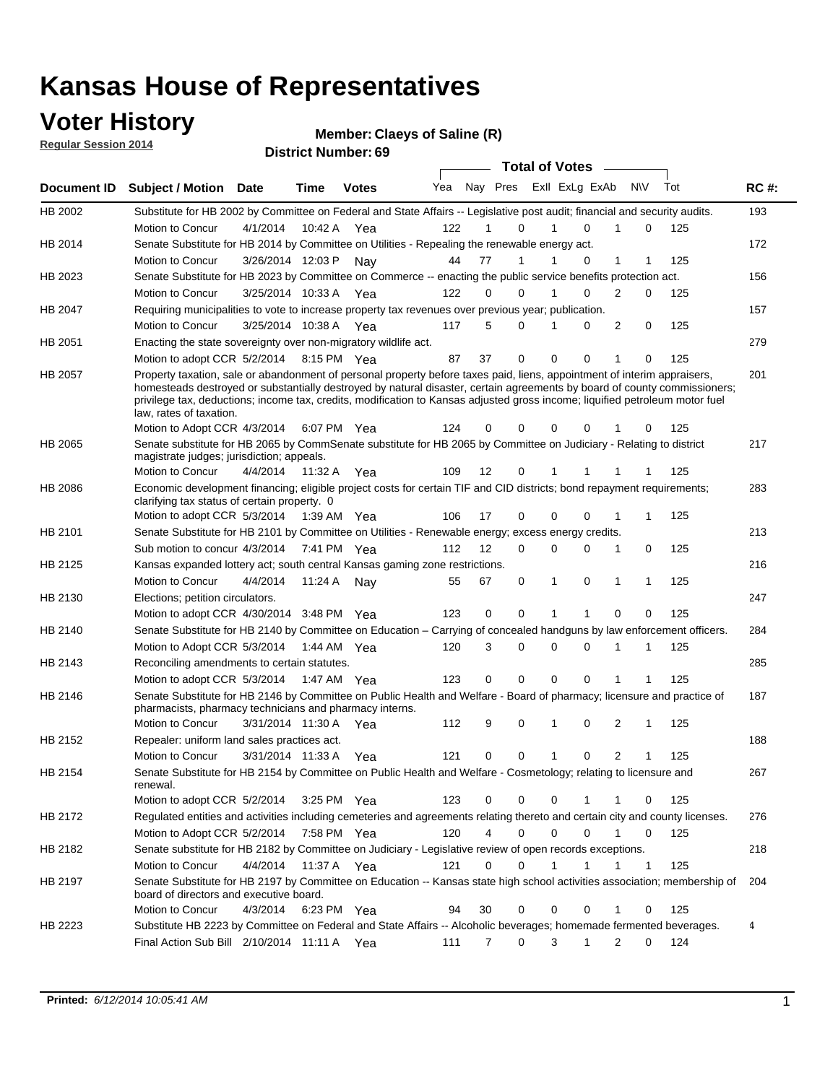### **Voter History**

**Regular Session 2014**

**Claeys of Saline (R)**

|                |                                                                                                                                                                                                                                                                                                                                                                                                                  |                      |         |              |     |                         | <b>Total of Votes</b> |              |              |            |             |     |             |
|----------------|------------------------------------------------------------------------------------------------------------------------------------------------------------------------------------------------------------------------------------------------------------------------------------------------------------------------------------------------------------------------------------------------------------------|----------------------|---------|--------------|-----|-------------------------|-----------------------|--------------|--------------|------------|-------------|-----|-------------|
|                | Document ID Subject / Motion Date                                                                                                                                                                                                                                                                                                                                                                                |                      | Time    | <b>Votes</b> | Yea | Nay Pres Exll ExLg ExAb |                       |              |              | <b>N\V</b> |             | Tot | <b>RC#:</b> |
| HB 2002        | Substitute for HB 2002 by Committee on Federal and State Affairs -- Legislative post audit; financial and security audits.                                                                                                                                                                                                                                                                                       |                      |         |              |     |                         |                       |              |              |            |             |     | 193         |
|                | Motion to Concur                                                                                                                                                                                                                                                                                                                                                                                                 | 4/1/2014             | 10:42 A | Yea          | 122 | 1                       | $\Omega$              | 1            | $\Omega$     | 1          | $\mathbf 0$ | 125 |             |
| HB 2014        | Senate Substitute for HB 2014 by Committee on Utilities - Repealing the renewable energy act.                                                                                                                                                                                                                                                                                                                    |                      |         |              |     |                         |                       |              |              |            |             |     | 172         |
|                | Motion to Concur                                                                                                                                                                                                                                                                                                                                                                                                 | 3/26/2014 12:03 P    |         | Nay          | 44  | 77                      | 1                     | 1            | 0            | 1          | 1           | 125 |             |
| HB 2023        | Senate Substitute for HB 2023 by Committee on Commerce -- enacting the public service benefits protection act.                                                                                                                                                                                                                                                                                                   |                      |         |              |     |                         |                       |              |              |            |             |     | 156         |
|                | Motion to Concur                                                                                                                                                                                                                                                                                                                                                                                                 | 3/25/2014 10:33 A    |         | Yea          | 122 | 0                       | 0                     | 1            | $\Omega$     | 2          | $\mathbf 0$ | 125 |             |
| HB 2047        | Requiring municipalities to vote to increase property tax revenues over previous year; publication.                                                                                                                                                                                                                                                                                                              |                      |         |              |     |                         |                       |              |              |            |             |     | 157         |
|                | Motion to Concur                                                                                                                                                                                                                                                                                                                                                                                                 | 3/25/2014 10:38 A    |         | Yea          | 117 | 5                       | 0                     | 1            | 0            | 2          | 0           | 125 |             |
| HB 2051        | Enacting the state sovereignty over non-migratory wildlife act.                                                                                                                                                                                                                                                                                                                                                  |                      |         |              |     |                         |                       |              |              |            |             |     | 279         |
|                | Motion to adopt CCR 5/2/2014                                                                                                                                                                                                                                                                                                                                                                                     |                      |         | 8:15 PM Yea  | 87  | 37                      | $\mathbf 0$           | $\mathbf 0$  | 0            | 1          | 0           | 125 |             |
| HB 2057        | Property taxation, sale or abandonment of personal property before taxes paid, liens, appointment of interim appraisers,<br>homesteads destroyed or substantially destroyed by natural disaster, certain agreements by board of county commissioners;<br>privilege tax, deductions; income tax, credits, modification to Kansas adjusted gross income; liquified petroleum motor fuel<br>law, rates of taxation. |                      |         |              |     |                         |                       |              |              |            |             |     | 201         |
|                | Motion to Adopt CCR 4/3/2014                                                                                                                                                                                                                                                                                                                                                                                     |                      |         | 6:07 PM Yea  | 124 | 0                       | $\Omega$              | 0            | 0            |            | 0           | 125 |             |
| <b>HB 2065</b> | Senate substitute for HB 2065 by CommSenate substitute for HB 2065 by Committee on Judiciary - Relating to district<br>magistrate judges; jurisdiction; appeals.                                                                                                                                                                                                                                                 |                      |         |              |     |                         |                       |              |              |            |             |     | 217         |
|                | Motion to Concur                                                                                                                                                                                                                                                                                                                                                                                                 | 4/4/2014 11:32 A     |         | Yea          | 109 | 12                      | 0                     | 1            |              |            | 1           | 125 |             |
| HB 2086        | Economic development financing; eligible project costs for certain TIF and CID districts; bond repayment requirements;<br>clarifying tax status of certain property. 0                                                                                                                                                                                                                                           |                      |         |              |     |                         |                       |              |              |            |             |     | 283         |
|                | Motion to adopt CCR 5/3/2014 1:39 AM Yea                                                                                                                                                                                                                                                                                                                                                                         |                      |         |              | 106 | 17                      | 0                     | $\mathbf 0$  | $\Omega$     | 1          | 1           | 125 |             |
| HB 2101        | Senate Substitute for HB 2101 by Committee on Utilities - Renewable energy; excess energy credits.                                                                                                                                                                                                                                                                                                               |                      |         |              |     |                         |                       |              |              |            |             |     | 213         |
|                | Sub motion to concur 4/3/2014 7:41 PM Yea                                                                                                                                                                                                                                                                                                                                                                        |                      |         |              | 112 | 12                      | 0                     | 0            | $\Omega$     | 1          | 0           | 125 |             |
| HB 2125        | Kansas expanded lottery act; south central Kansas gaming zone restrictions.                                                                                                                                                                                                                                                                                                                                      |                      |         |              |     |                         |                       |              |              |            |             |     | 216         |
|                | Motion to Concur                                                                                                                                                                                                                                                                                                                                                                                                 | 4/4/2014             |         | 11:24 A Nay  | 55  | 67                      | 0                     | 1            | 0            | 1          | 1           | 125 |             |
| HB 2130        | Elections; petition circulators.                                                                                                                                                                                                                                                                                                                                                                                 |                      |         |              |     |                         |                       |              |              |            |             |     | 247         |
|                | Motion to adopt CCR 4/30/2014 3:48 PM Yea                                                                                                                                                                                                                                                                                                                                                                        |                      |         |              | 123 | 0                       | $\mathbf 0$           | 1            | 1            | 0          | 0           | 125 |             |
| HB 2140        | Senate Substitute for HB 2140 by Committee on Education – Carrying of concealed handguns by law enforcement officers.                                                                                                                                                                                                                                                                                            |                      |         |              |     |                         |                       |              |              |            |             |     | 284         |
|                | Motion to Adopt CCR 5/3/2014 1:44 AM Yea                                                                                                                                                                                                                                                                                                                                                                         |                      |         |              | 120 | 3                       | 0                     | 0            | $\Omega$     | 1          | 1           | 125 |             |
| HB 2143        | Reconciling amendments to certain statutes.                                                                                                                                                                                                                                                                                                                                                                      |                      |         |              |     |                         |                       |              |              |            |             |     | 285         |
|                | Motion to adopt CCR 5/3/2014 1:47 AM Yea                                                                                                                                                                                                                                                                                                                                                                         |                      |         |              | 123 | 0                       | $\mathbf 0$           | $\mathbf 0$  | 0            | 1          | 1           | 125 |             |
| HB 2146        | Senate Substitute for HB 2146 by Committee on Public Health and Welfare - Board of pharmacy; licensure and practice of<br>pharmacists, pharmacy technicians and pharmacy interns.                                                                                                                                                                                                                                |                      |         |              |     |                         |                       |              |              |            |             |     | 187         |
|                | Motion to Concur                                                                                                                                                                                                                                                                                                                                                                                                 | 3/31/2014 11:30 A    |         | Yea          | 112 | 9                       | 0                     | 1            | 0            | 2          | 1           | 125 |             |
| HB 2152        | Repealer: uniform land sales practices act.                                                                                                                                                                                                                                                                                                                                                                      |                      |         |              |     |                         |                       |              |              |            |             |     | 188         |
|                | Motion to Concur                                                                                                                                                                                                                                                                                                                                                                                                 | 3/31/2014 11:33 A    |         | Yea          | 121 | 0                       | 0                     | $\mathbf{1}$ | 0            | 2          | $\mathbf 1$ | 125 |             |
| HB 2154        | Senate Substitute for HB 2154 by Committee on Public Health and Welfare - Cosmetology; relating to licensure and<br>renewal.                                                                                                                                                                                                                                                                                     |                      |         |              |     |                         |                       |              |              |            |             |     | 267         |
|                | Motion to adopt CCR 5/2/2014                                                                                                                                                                                                                                                                                                                                                                                     |                      |         | 3:25 PM Yea  | 123 | 0                       | 0                     | 0            |              | 1          | 0           | 125 |             |
| HB 2172        | Regulated entities and activities including cemeteries and agreements relating thereto and certain city and county licenses.                                                                                                                                                                                                                                                                                     |                      |         |              |     |                         |                       |              |              |            |             |     | 276         |
|                | Motion to Adopt CCR 5/2/2014 7:58 PM Yea                                                                                                                                                                                                                                                                                                                                                                         |                      |         |              | 120 | 4                       | 0                     | 0            | 0            | 1          | $\Omega$    | 125 |             |
| HB 2182        | Senate substitute for HB 2182 by Committee on Judiciary - Legislative review of open records exceptions.                                                                                                                                                                                                                                                                                                         |                      |         |              |     |                         |                       |              |              |            |             |     | 218         |
|                | Motion to Concur                                                                                                                                                                                                                                                                                                                                                                                                 | 4/4/2014 11:37 A Yea |         |              | 121 | $\Omega$                | $\Omega$              | 1            | 1            |            | 1           | 125 |             |
| HB 2197        | Senate Substitute for HB 2197 by Committee on Education -- Kansas state high school activities association; membership of                                                                                                                                                                                                                                                                                        |                      |         |              |     |                         |                       |              |              |            |             |     | 204         |
|                | board of directors and executive board.                                                                                                                                                                                                                                                                                                                                                                          |                      |         |              |     |                         |                       |              |              |            |             |     |             |
|                | Motion to Concur                                                                                                                                                                                                                                                                                                                                                                                                 | 4/3/2014             |         | 6:23 PM Yea  | 94  | 30                      | 0                     | 0            | 0            | 1          | 0           | 125 |             |
| HB 2223        | Substitute HB 2223 by Committee on Federal and State Affairs -- Alcoholic beverages; homemade fermented beverages.                                                                                                                                                                                                                                                                                               |                      |         |              |     |                         |                       |              |              |            |             |     | 4           |
|                | Final Action Sub Bill 2/10/2014 11:11 A Yea                                                                                                                                                                                                                                                                                                                                                                      |                      |         |              | 111 | $\overline{7}$          | 0                     | 3            | $\mathbf{1}$ | 2          | 0           | 124 |             |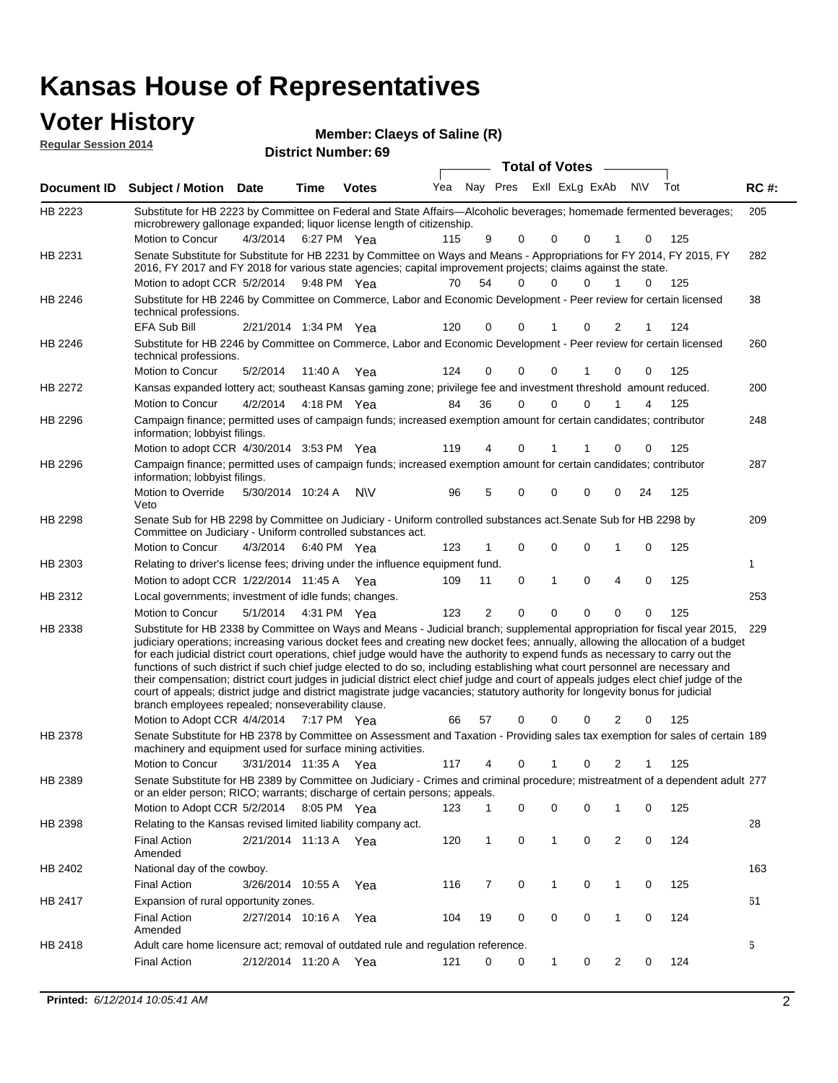#### **Voter History Member**

| <b>VULGE LIBLUI Y</b>       | Member: Claeys of Saline (R) |
|-----------------------------|------------------------------|
| <b>Regular Session 2014</b> | <b>District Number: 69</b>   |
|                             | <b>Total of Votes</b>        |

|         | Document ID Subject / Motion Date                                                                                                                                                                                                                                                                                                                                                                                                                                                                                                                                                                                                                                                                                                                                                                                                                                   |          | Time                  | <b>Votes</b> | Yea | Nay Pres     |             | Exil ExLg ExAb |          |                | N\V | Tot | <b>RC#:</b> |
|---------|---------------------------------------------------------------------------------------------------------------------------------------------------------------------------------------------------------------------------------------------------------------------------------------------------------------------------------------------------------------------------------------------------------------------------------------------------------------------------------------------------------------------------------------------------------------------------------------------------------------------------------------------------------------------------------------------------------------------------------------------------------------------------------------------------------------------------------------------------------------------|----------|-----------------------|--------------|-----|--------------|-------------|----------------|----------|----------------|-----|-----|-------------|
| HB 2223 | Substitute for HB 2223 by Committee on Federal and State Affairs—Alcoholic beverages; homemade fermented beverages;<br>microbrewery gallonage expanded; liquor license length of citizenship.                                                                                                                                                                                                                                                                                                                                                                                                                                                                                                                                                                                                                                                                       |          |                       |              |     |              |             |                |          |                |     |     | 205         |
| HB 2231 | Motion to Concur<br>Senate Substitute for Substitute for HB 2231 by Committee on Ways and Means - Appropriations for FY 2014, FY 2015, FY<br>2016, FY 2017 and FY 2018 for various state agencies; capital improvement projects; claims against the state.                                                                                                                                                                                                                                                                                                                                                                                                                                                                                                                                                                                                          | 4/3/2014 |                       | 6:27 PM Yea  | 115 | 9            | 0           | 0              | 0        |                | 0   | 125 | 282         |
|         | Motion to adopt CCR 5/2/2014 9:48 PM Yea                                                                                                                                                                                                                                                                                                                                                                                                                                                                                                                                                                                                                                                                                                                                                                                                                            |          |                       |              | 70  | 54           | 0           | $\Omega$       | $\Omega$ | 1              | 0   | 125 |             |
| HB 2246 | Substitute for HB 2246 by Committee on Commerce, Labor and Economic Development - Peer review for certain licensed<br>technical professions.                                                                                                                                                                                                                                                                                                                                                                                                                                                                                                                                                                                                                                                                                                                        |          |                       |              |     |              |             |                |          |                |     |     | 38          |
|         | <b>EFA Sub Bill</b>                                                                                                                                                                                                                                                                                                                                                                                                                                                                                                                                                                                                                                                                                                                                                                                                                                                 |          | 2/21/2014 1:34 PM Yea |              | 120 | 0            | 0           | 1              | 0        | 2              | 1   | 124 |             |
| HB 2246 | Substitute for HB 2246 by Committee on Commerce, Labor and Economic Development - Peer review for certain licensed<br>technical professions.                                                                                                                                                                                                                                                                                                                                                                                                                                                                                                                                                                                                                                                                                                                        |          |                       |              |     |              |             |                |          |                |     |     | 260         |
|         | Motion to Concur                                                                                                                                                                                                                                                                                                                                                                                                                                                                                                                                                                                                                                                                                                                                                                                                                                                    | 5/2/2014 |                       | 11:40 A Yea  | 124 | 0            | 0           | 0              |          | 0              | 0   | 125 |             |
| HB 2272 | Kansas expanded lottery act; southeast Kansas gaming zone; privilege fee and investment threshold amount reduced.                                                                                                                                                                                                                                                                                                                                                                                                                                                                                                                                                                                                                                                                                                                                                   |          |                       |              |     |              |             |                |          |                |     |     | 200         |
|         | <b>Motion to Concur</b>                                                                                                                                                                                                                                                                                                                                                                                                                                                                                                                                                                                                                                                                                                                                                                                                                                             | 4/2/2014 |                       | 4:18 PM Yea  | 84  | 36           | 0           | 0              | $\Omega$ | 1              | 4   | 125 |             |
| HB 2296 | Campaign finance; permitted uses of campaign funds; increased exemption amount for certain candidates; contributor<br>information; lobbyist filings.                                                                                                                                                                                                                                                                                                                                                                                                                                                                                                                                                                                                                                                                                                                |          |                       |              |     |              |             |                |          |                |     |     | 248         |
|         | Motion to adopt CCR 4/30/2014 3:53 PM Yea                                                                                                                                                                                                                                                                                                                                                                                                                                                                                                                                                                                                                                                                                                                                                                                                                           |          |                       |              | 119 | 4            | 0           | 1              |          | 0              | 0   | 125 |             |
| HB 2296 | Campaign finance; permitted uses of campaign funds; increased exemption amount for certain candidates; contributor<br>information; lobbyist filings.                                                                                                                                                                                                                                                                                                                                                                                                                                                                                                                                                                                                                                                                                                                |          |                       |              |     |              |             |                |          |                |     |     | 287         |
|         | Motion to Override<br>Veto                                                                                                                                                                                                                                                                                                                                                                                                                                                                                                                                                                                                                                                                                                                                                                                                                                          |          | 5/30/2014 10:24 A     | <b>NV</b>    | 96  | 5            | 0           | 0              | 0        | 0              | 24  | 125 |             |
| HB 2298 | Senate Sub for HB 2298 by Committee on Judiciary - Uniform controlled substances act. Senate Sub for HB 2298 by<br>Committee on Judiciary - Uniform controlled substances act.                                                                                                                                                                                                                                                                                                                                                                                                                                                                                                                                                                                                                                                                                      |          |                       |              |     |              |             |                |          |                |     |     | 209         |
|         | Motion to Concur                                                                                                                                                                                                                                                                                                                                                                                                                                                                                                                                                                                                                                                                                                                                                                                                                                                    | 4/3/2014 |                       | 6:40 PM Yea  | 123 |              | 0           | 0              | 0        | 1              | 0   | 125 |             |
| HB 2303 | Relating to driver's license fees; driving under the influence equipment fund.                                                                                                                                                                                                                                                                                                                                                                                                                                                                                                                                                                                                                                                                                                                                                                                      |          |                       |              |     |              |             |                |          |                |     |     | 1           |
|         | Motion to adopt CCR 1/22/2014 11:45 A Yea                                                                                                                                                                                                                                                                                                                                                                                                                                                                                                                                                                                                                                                                                                                                                                                                                           |          |                       |              | 109 | 11           | 0           | 1              | 0        | 4              | 0   | 125 |             |
| HB 2312 | Local governments; investment of idle funds; changes.                                                                                                                                                                                                                                                                                                                                                                                                                                                                                                                                                                                                                                                                                                                                                                                                               |          |                       |              |     |              |             |                |          |                |     |     | 253         |
|         | Motion to Concur                                                                                                                                                                                                                                                                                                                                                                                                                                                                                                                                                                                                                                                                                                                                                                                                                                                    | 5/1/2014 |                       | 4:31 PM Yea  | 123 | 2            | $\mathbf 0$ | 0              | $\Omega$ | $\Omega$       | 0   | 125 |             |
| HB 2338 | Substitute for HB 2338 by Committee on Ways and Means - Judicial branch; supplemental appropriation for fiscal year 2015,<br>judiciary operations; increasing various docket fees and creating new docket fees; annually, allowing the allocation of a budget<br>for each judicial district court operations, chief judge would have the authority to expend funds as necessary to carry out the<br>functions of such district if such chief judge elected to do so, including establishing what court personnel are necessary and<br>their compensation; district court judges in judicial district elect chief judge and court of appeals judges elect chief judge of the<br>court of appeals; district judge and district magistrate judge vacancies; statutory authority for longevity bonus for judicial<br>branch employees repealed; nonseverability clause. |          |                       |              |     |              |             |                |          |                |     |     | 229         |
|         | Motion to Adopt CCR 4/4/2014                                                                                                                                                                                                                                                                                                                                                                                                                                                                                                                                                                                                                                                                                                                                                                                                                                        |          |                       | 7:17 PM Yea  | 66  | 57           | 0           | 0              | 0        | $\overline{2}$ | 0   | 125 |             |
| HB 2378 | Senate Substitute for HB 2378 by Committee on Assessment and Taxation - Providing sales tax exemption for sales of certain 189<br>machinery and equipment used for surface mining activities.                                                                                                                                                                                                                                                                                                                                                                                                                                                                                                                                                                                                                                                                       |          |                       |              |     |              |             |                |          |                |     |     |             |
|         | Motion to Concur                                                                                                                                                                                                                                                                                                                                                                                                                                                                                                                                                                                                                                                                                                                                                                                                                                                    |          | 3/31/2014 11:35 A     | Yea          | 117 | 4            | 0           |                | 0        | 2              |     | 125 |             |
| HB 2389 | Senate Substitute for HB 2389 by Committee on Judiciary - Crimes and criminal procedure; mistreatment of a dependent adult 277<br>or an elder person; RICO; warrants; discharge of certain persons; appeals.                                                                                                                                                                                                                                                                                                                                                                                                                                                                                                                                                                                                                                                        |          |                       |              |     |              |             |                |          |                |     |     |             |
|         | Motion to Adopt CCR 5/2/2014                                                                                                                                                                                                                                                                                                                                                                                                                                                                                                                                                                                                                                                                                                                                                                                                                                        |          | 8:05 PM Yea           |              | 123 | 1            | 0           | 0              | 0        |                | 0   | 125 |             |
| HB 2398 | Relating to the Kansas revised limited liability company act.                                                                                                                                                                                                                                                                                                                                                                                                                                                                                                                                                                                                                                                                                                                                                                                                       |          |                       |              |     |              |             |                |          |                |     |     | 28          |
|         | <b>Final Action</b><br>Amended                                                                                                                                                                                                                                                                                                                                                                                                                                                                                                                                                                                                                                                                                                                                                                                                                                      |          | 2/21/2014 11:13 A Yea |              | 120 | $\mathbf{1}$ | 0           | 1              | 0        | $\overline{c}$ | 0   | 124 |             |
| HB 2402 | National day of the cowboy.                                                                                                                                                                                                                                                                                                                                                                                                                                                                                                                                                                                                                                                                                                                                                                                                                                         |          |                       |              |     |              |             |                |          |                |     |     | 163         |
|         | <b>Final Action</b>                                                                                                                                                                                                                                                                                                                                                                                                                                                                                                                                                                                                                                                                                                                                                                                                                                                 |          | 3/26/2014 10:55 A     | Yea          | 116 | 7            | 0           | 1              | 0        | 1              | 0   | 125 |             |
| HB 2417 | Expansion of rural opportunity zones.                                                                                                                                                                                                                                                                                                                                                                                                                                                                                                                                                                                                                                                                                                                                                                                                                               |          |                       |              |     |              |             |                |          |                |     |     | 61          |
|         | <b>Final Action</b><br>Amended                                                                                                                                                                                                                                                                                                                                                                                                                                                                                                                                                                                                                                                                                                                                                                                                                                      |          | 2/27/2014 10:16 A     | Yea          | 104 | 19           | 0           | 0              | 0        | $\mathbf{1}$   | 0   | 124 |             |
| HB 2418 | Adult care home licensure act; removal of outdated rule and regulation reference.                                                                                                                                                                                                                                                                                                                                                                                                                                                                                                                                                                                                                                                                                                                                                                                   |          |                       |              |     |              |             |                |          |                |     |     | 6           |
|         | <b>Final Action</b>                                                                                                                                                                                                                                                                                                                                                                                                                                                                                                                                                                                                                                                                                                                                                                                                                                                 |          | 2/12/2014 11:20 A     | Yea          | 121 | 0            | 0           | 1              | 0        | $\overline{2}$ | 0   | 124 |             |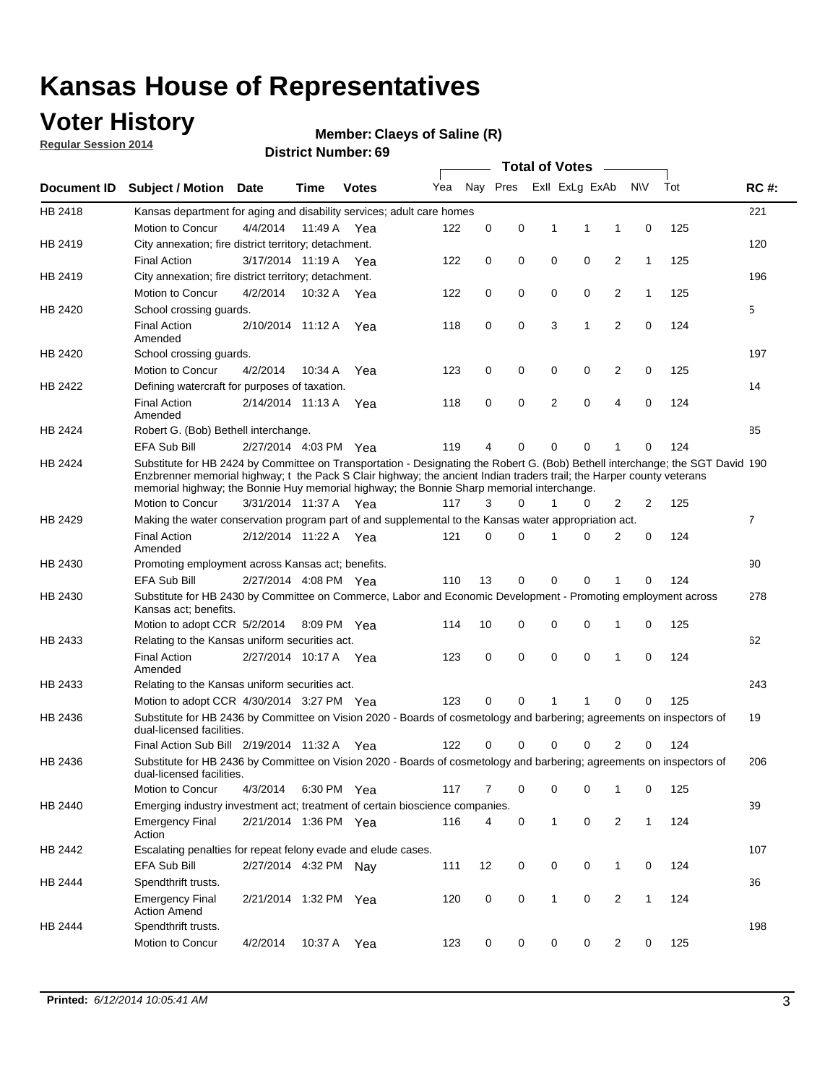### **Voter History**

**Regular Session 2014**

#### **Claeys of Saline (R)**

|                    |                                                                                                                                                                                                                                                                                                                                                      |                       |             | <b>DISTRICT MAILINGL'S</b> |     |          |                     |              | <b>Total of Votes</b> |                |                |     |             |
|--------------------|------------------------------------------------------------------------------------------------------------------------------------------------------------------------------------------------------------------------------------------------------------------------------------------------------------------------------------------------------|-----------------------|-------------|----------------------------|-----|----------|---------------------|--------------|-----------------------|----------------|----------------|-----|-------------|
| <b>Document ID</b> | <b>Subject / Motion Date</b>                                                                                                                                                                                                                                                                                                                         |                       | Time        | <b>Votes</b>               | Yea |          | Nay Pres            |              | Exll ExLg ExAb        |                | <b>NV</b>      | Tot | <b>RC#:</b> |
| HB 2418            | Kansas department for aging and disability services; adult care homes                                                                                                                                                                                                                                                                                |                       |             |                            |     |          |                     |              |                       |                |                |     | 221         |
|                    | <b>Motion to Concur</b>                                                                                                                                                                                                                                                                                                                              | 4/4/2014              | 11:49 A     | Yea                        | 122 | 0        | 0                   | $\mathbf{1}$ | $\mathbf{1}$          | 1              | 0              | 125 |             |
| HB 2419            | City annexation; fire district territory; detachment.                                                                                                                                                                                                                                                                                                |                       |             |                            |     |          |                     |              |                       |                |                |     | 120         |
|                    | <b>Final Action</b>                                                                                                                                                                                                                                                                                                                                  | 3/17/2014 11:19 A Yea |             |                            | 122 | 0        | 0                   | $\mathbf 0$  | $\mathbf 0$           | 2              | 1              | 125 |             |
| HB 2419            | City annexation; fire district territory; detachment.                                                                                                                                                                                                                                                                                                |                       |             |                            |     |          |                     |              |                       |                |                |     | 196         |
|                    | Motion to Concur                                                                                                                                                                                                                                                                                                                                     | 4/2/2014              | 10:32 A Yea |                            | 122 | 0        | 0                   | 0            | $\mathbf 0$           | 2              | 1              | 125 |             |
| HB 2420            | School crossing quards.                                                                                                                                                                                                                                                                                                                              |                       |             |                            |     |          |                     |              |                       |                |                |     | 5           |
|                    | <b>Final Action</b><br>Amended                                                                                                                                                                                                                                                                                                                       | 2/10/2014 11:12 A     |             | Yea                        | 118 | 0        | 0                   | 3            | 1                     | 2              | 0              | 124 |             |
| HB 2420            | School crossing guards.                                                                                                                                                                                                                                                                                                                              |                       |             |                            |     |          |                     |              |                       |                |                |     | 197         |
|                    | Motion to Concur                                                                                                                                                                                                                                                                                                                                     | 4/2/2014              | 10:34 A     | Yea                        | 123 | 0        | 0                   | 0            | 0                     | 2              | 0              | 125 |             |
| HB 2422            | Defining watercraft for purposes of taxation.                                                                                                                                                                                                                                                                                                        |                       |             |                            |     |          |                     |              |                       |                |                |     | 14          |
|                    | <b>Final Action</b><br>Amended                                                                                                                                                                                                                                                                                                                       | 2/14/2014 11:13 A     |             | Yea                        | 118 | 0        | $\mathbf 0$         | 2            | $\mathbf 0$           | 4              | $\mathbf 0$    | 124 |             |
| <b>HB 2424</b>     | Robert G. (Bob) Bethell interchange.                                                                                                                                                                                                                                                                                                                 |                       |             |                            |     |          |                     |              |                       |                |                |     | 85          |
|                    | EFA Sub Bill                                                                                                                                                                                                                                                                                                                                         | 2/27/2014 4:03 PM Yea |             |                            | 119 | 4        | 0                   | 0            | 0                     | 1              | 0              | 124 |             |
| HB 2424            | Substitute for HB 2424 by Committee on Transportation - Designating the Robert G. (Bob) Bethell interchange; the SGT David 190<br>Enzbrenner memorial highway; t the Pack S Clair highway; the ancient Indian traders trail; the Harper county veterans<br>memorial highway; the Bonnie Huy memorial highway; the Bonnie Sharp memorial interchange. |                       |             |                            |     |          |                     |              |                       |                |                |     |             |
|                    | Motion to Concur                                                                                                                                                                                                                                                                                                                                     | 3/31/2014 11:37 A Yea |             |                            | 117 | 3        | 0                   | 1            | 0                     | 2              | $\overline{2}$ | 125 |             |
| HB 2429            | Making the water conservation program part of and supplemental to the Kansas water appropriation act.                                                                                                                                                                                                                                                |                       |             |                            |     |          |                     |              |                       |                |                |     | 7           |
|                    | <b>Final Action</b><br>Amended                                                                                                                                                                                                                                                                                                                       | 2/12/2014 11:22 A Yea |             |                            | 121 | $\Omega$ | 0                   | 1            | $\Omega$              | $\overline{2}$ | $\mathbf 0$    | 124 |             |
| HB 2430            | Promoting employment across Kansas act; benefits.                                                                                                                                                                                                                                                                                                    |                       |             |                            |     |          |                     |              |                       |                |                |     | 90          |
|                    | <b>EFA Sub Bill</b>                                                                                                                                                                                                                                                                                                                                  | 2/27/2014 4:08 PM Yea |             |                            | 110 | 13       | 0                   | $\Omega$     | 0                     | 1              | 0              | 124 |             |
| HB 2430            | Substitute for HB 2430 by Committee on Commerce, Labor and Economic Development - Promoting employment across<br>Kansas act; benefits.                                                                                                                                                                                                               |                       |             |                            |     |          |                     |              |                       |                |                |     | 278         |
|                    | Motion to adopt CCR 5/2/2014                                                                                                                                                                                                                                                                                                                         |                       | 8:09 PM Yea |                            | 114 | 10       | 0                   | 0            | 0                     | 1              | 0              | 125 |             |
| HB 2433            | Relating to the Kansas uniform securities act.                                                                                                                                                                                                                                                                                                       |                       |             |                            |     |          |                     |              |                       |                |                |     | 62          |
|                    | <b>Final Action</b><br>Amended                                                                                                                                                                                                                                                                                                                       | 2/27/2014 10:17 A Yea |             |                            | 123 | 0        | 0                   | $\mathbf 0$  | $\mathbf 0$           | 1              | 0              | 124 |             |
| HB 2433            | Relating to the Kansas uniform securities act.                                                                                                                                                                                                                                                                                                       |                       |             |                            |     |          |                     |              |                       |                |                |     | 243         |
|                    | Motion to adopt CCR 4/30/2014 3:27 PM Yea                                                                                                                                                                                                                                                                                                            |                       |             |                            | 123 | 0        | $\Omega$            | 1            | 1                     | 0              | 0              | 125 |             |
| HB 2436            | Substitute for HB 2436 by Committee on Vision 2020 - Boards of cosmetology and barbering; agreements on inspectors of<br>dual-licensed facilities.                                                                                                                                                                                                   |                       |             |                            |     |          |                     |              |                       |                |                |     | 19          |
|                    | Final Action Sub Bill 2/19/2014 11:32 A Yea                                                                                                                                                                                                                                                                                                          |                       |             |                            | 122 |          | 0                   |              | 0                     | 2              | 0              | 124 |             |
| HB 2436            | Substitute for HB 2436 by Committee on Vision 2020 - Boards of cosmetology and barbering; agreements on inspectors of<br>dual-licensed facilities.                                                                                                                                                                                                   |                       |             |                            |     |          |                     |              |                       |                |                |     | 206         |
|                    | Motion to Concur                                                                                                                                                                                                                                                                                                                                     | 4/3/2014              | 6:30 PM Yea |                            | 117 | 7        | 0                   | 0            | 0                     | 1              | 0              | 125 |             |
| HB 2440            | Emerging industry investment act; treatment of certain bioscience companies.                                                                                                                                                                                                                                                                         |                       |             |                            |     |          |                     |              |                       |                |                |     | 39          |
|                    | <b>Emergency Final</b><br>Action                                                                                                                                                                                                                                                                                                                     | 2/21/2014 1:36 PM Yea |             |                            | 116 | 4        | $\mathsf{O}\xspace$ | $\mathbf{1}$ | $\pmb{0}$             | $\overline{2}$ | $\mathbf{1}$   | 124 |             |
| HB 2442            | Escalating penalties for repeat felony evade and elude cases.                                                                                                                                                                                                                                                                                        |                       |             |                            |     |          |                     |              |                       |                |                |     | 107         |
|                    | EFA Sub Bill                                                                                                                                                                                                                                                                                                                                         | 2/27/2014 4:32 PM Nay |             |                            | 111 | 12       | 0                   | 0            | $\mathbf 0$           | $\mathbf{1}$   | 0              | 124 |             |
| HB 2444            | Spendthrift trusts.                                                                                                                                                                                                                                                                                                                                  |                       |             |                            |     |          |                     |              |                       |                |                |     | 36          |
|                    | <b>Emergency Final</b><br><b>Action Amend</b>                                                                                                                                                                                                                                                                                                        | 2/21/2014 1:32 PM Yea |             |                            | 120 | 0        | 0                   | $\mathbf{1}$ | 0                     | $\overline{2}$ | $\mathbf{1}$   | 124 |             |
| HB 2444            | Spendthrift trusts.                                                                                                                                                                                                                                                                                                                                  |                       |             |                            |     |          |                     |              |                       |                |                |     | 198         |
|                    | Motion to Concur                                                                                                                                                                                                                                                                                                                                     | 4/2/2014              | 10:37 A Yea |                            | 123 | 0        | 0                   | 0            | 0                     | $\overline{2}$ | 0              | 125 |             |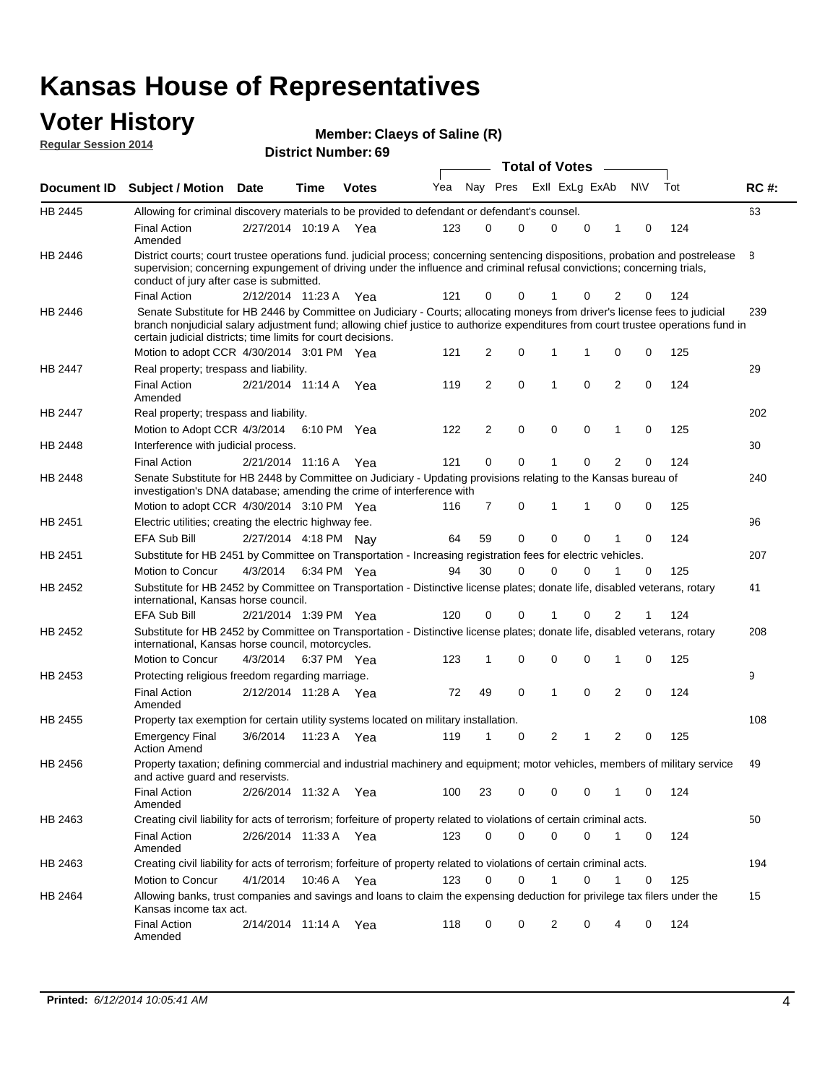#### **Voter History Regular Session 2014**

|  | Member: Claeys of Saline (R) |  |  |
|--|------------------------------|--|--|
|--|------------------------------|--|--|

|         |                                                                                                                                                                                                                                                                                                                                 |                       |      |              |     |    |             | <b>Total of Votes</b> |   |                         |             |     |             |
|---------|---------------------------------------------------------------------------------------------------------------------------------------------------------------------------------------------------------------------------------------------------------------------------------------------------------------------------------|-----------------------|------|--------------|-----|----|-------------|-----------------------|---|-------------------------|-------------|-----|-------------|
|         | Document ID Subject / Motion Date                                                                                                                                                                                                                                                                                               |                       | Time | <b>Votes</b> | Yea |    | Nay Pres    | Exll ExLg ExAb        |   |                         | N\V         | Tot | <b>RC#:</b> |
| HB 2445 | Allowing for criminal discovery materials to be provided to defendant or defendant's counsel.                                                                                                                                                                                                                                   |                       |      |              |     |    |             |                       |   |                         |             |     | 63          |
|         | <b>Final Action</b><br>Amended                                                                                                                                                                                                                                                                                                  | 2/27/2014 10:19 A Yea |      |              | 123 | 0  | 0           | $\mathbf 0$           | 0 | 1                       | 0           | 124 |             |
| HB 2446 | District courts; court trustee operations fund. judicial process; concerning sentencing dispositions, probation and postrelease<br>supervision; concerning expungement of driving under the influence and criminal refusal convictions; concerning trials,<br>conduct of jury after case is submitted.                          |                       |      |              |     |    |             |                       |   |                         |             |     | 8           |
|         | <b>Final Action</b>                                                                                                                                                                                                                                                                                                             | 2/12/2014 11:23 A Yea |      |              | 121 | 0  | 0           |                       | 0 | 2                       | 0           | 124 |             |
| HB 2446 | Senate Substitute for HB 2446 by Committee on Judiciary - Courts; allocating moneys from driver's license fees to judicial<br>branch nonjudicial salary adjustment fund; allowing chief justice to authorize expenditures from court trustee operations fund in<br>certain judicial districts; time limits for court decisions. |                       |      |              |     |    |             |                       |   |                         |             |     | 239         |
|         | Motion to adopt CCR 4/30/2014 3:01 PM Yea                                                                                                                                                                                                                                                                                       |                       |      |              | 121 | 2  | 0           | $\mathbf 1$           | 1 | 0                       | 0           | 125 |             |
| HB 2447 | Real property; trespass and liability.                                                                                                                                                                                                                                                                                          |                       |      |              |     |    |             |                       |   |                         |             |     | 29          |
|         | <b>Final Action</b><br>Amended                                                                                                                                                                                                                                                                                                  | 2/21/2014 11:14 A Yea |      |              | 119 | 2  | $\mathbf 0$ | $\mathbf{1}$          | 0 | $\overline{2}$          | 0           | 124 |             |
| HB 2447 | Real property; trespass and liability.                                                                                                                                                                                                                                                                                          |                       |      |              |     |    |             |                       |   |                         |             |     | 202         |
|         | Motion to Adopt CCR 4/3/2014                                                                                                                                                                                                                                                                                                    |                       |      | 6:10 PM Yea  | 122 | 2  | $\mathbf 0$ | $\mathbf 0$           | 0 | 1                       | 0           | 125 |             |
| HB 2448 | Interference with judicial process.                                                                                                                                                                                                                                                                                             |                       |      |              |     |    |             |                       |   |                         |             |     | 30          |
|         | <b>Final Action</b>                                                                                                                                                                                                                                                                                                             | 2/21/2014 11:16 A Yea |      |              | 121 | 0  | $\mathbf 0$ | 1                     | 0 | 2                       | 0           | 124 |             |
| HB 2448 | Senate Substitute for HB 2448 by Committee on Judiciary - Updating provisions relating to the Kansas bureau of<br>investigation's DNA database; amending the crime of interference with                                                                                                                                         |                       |      |              |     |    |             |                       |   |                         |             |     | 240         |
|         | Motion to adopt CCR 4/30/2014 3:10 PM Yea                                                                                                                                                                                                                                                                                       |                       |      |              | 116 | 7  | 0           | 1                     | 1 | 0                       | 0           | 125 |             |
| HB 2451 | Electric utilities; creating the electric highway fee.                                                                                                                                                                                                                                                                          |                       |      |              |     |    |             |                       |   |                         |             |     | 96          |
|         | <b>EFA Sub Bill</b>                                                                                                                                                                                                                                                                                                             | 2/27/2014 4:18 PM Nav |      |              | 64  | 59 | 0           | $\mathbf 0$           | 0 | 1                       | 0           | 124 |             |
| HB 2451 | Substitute for HB 2451 by Committee on Transportation - Increasing registration fees for electric vehicles.                                                                                                                                                                                                                     |                       |      |              |     |    |             |                       |   |                         |             |     | 207         |
|         | Motion to Concur                                                                                                                                                                                                                                                                                                                | 4/3/2014              |      | 6:34 PM Yea  | 94  | 30 | 0           | $\Omega$              | 0 |                         | 0           | 125 |             |
| HB 2452 | Substitute for HB 2452 by Committee on Transportation - Distinctive license plates; donate life, disabled veterans, rotary<br>international, Kansas horse council.                                                                                                                                                              |                       |      |              |     |    |             |                       |   |                         |             |     | 41          |
|         | <b>EFA Sub Bill</b>                                                                                                                                                                                                                                                                                                             | 2/21/2014 1:39 PM Yea |      |              | 120 | 0  | 0           |                       | 0 | 2                       | 1           | 124 |             |
| HB 2452 | Substitute for HB 2452 by Committee on Transportation - Distinctive license plates; donate life, disabled veterans, rotary<br>international, Kansas horse council, motorcycles.                                                                                                                                                 |                       |      |              |     |    |             |                       |   |                         |             |     | 208         |
|         | Motion to Concur                                                                                                                                                                                                                                                                                                                | 4/3/2014              |      | 6:37 PM Yea  | 123 | 1  | 0           | $\mathbf 0$           | 0 | 1                       | 0           | 125 |             |
| HB 2453 | Protecting religious freedom regarding marriage.                                                                                                                                                                                                                                                                                |                       |      |              |     |    |             |                       |   |                         |             |     | 9           |
|         | <b>Final Action</b><br>Amended                                                                                                                                                                                                                                                                                                  | 2/12/2014 11:28 A Yea |      |              | 72  | 49 | 0           | 1                     | 0 | 2                       | 0           | 124 |             |
| HB 2455 | Property tax exemption for certain utility systems located on military installation.                                                                                                                                                                                                                                            |                       |      |              |     |    |             |                       |   |                         |             |     | 108         |
|         | <b>Emergency Final</b><br><b>Action Amend</b>                                                                                                                                                                                                                                                                                   | 3/6/2014              |      | 11:23 A Yea  | 119 | 1  | 0           | $\overline{2}$        | 1 | $\overline{\mathbf{c}}$ | 0           | 125 |             |
| HB 2456 | Property taxation; defining commercial and industrial machinery and equipment; motor vehicles, members of military service<br>and active guard and reservists.                                                                                                                                                                  |                       |      |              |     |    |             |                       |   |                         |             |     | 49          |
|         | <b>Final Action</b><br>Amended                                                                                                                                                                                                                                                                                                  | 2/26/2014 11:32 A Yea |      |              | 100 | 23 | 0           | 0                     | 0 | 1                       | 0           | 124 |             |
| HB 2463 | Creating civil liability for acts of terrorism; forfeiture of property related to violations of certain criminal acts.                                                                                                                                                                                                          |                       |      |              |     |    |             |                       |   |                         |             |     | 50          |
|         | <b>Final Action</b><br>Amended                                                                                                                                                                                                                                                                                                  | 2/26/2014 11:33 A Yea |      |              | 123 | 0  | 0           | 0                     | 0 | $\mathbf{1}$            | $\mathbf 0$ | 124 |             |
| HB 2463 | Creating civil liability for acts of terrorism; forfeiture of property related to violations of certain criminal acts.                                                                                                                                                                                                          |                       |      |              |     |    |             |                       |   |                         |             |     | 194         |
|         | <b>Motion to Concur</b>                                                                                                                                                                                                                                                                                                         | 4/1/2014              |      | 10:46 A Yea  | 123 | 0  | $\mathbf 0$ | 1                     | 0 | 1                       | 0           | 125 |             |
| HB 2464 | Allowing banks, trust companies and savings and loans to claim the expensing deduction for privilege tax filers under the<br>Kansas income tax act.                                                                                                                                                                             |                       |      |              |     |    |             |                       |   |                         |             |     | 15          |
|         | <b>Final Action</b><br>Amended                                                                                                                                                                                                                                                                                                  | 2/14/2014 11:14 A Yea |      |              | 118 | 0  | 0           | 2                     | 0 | 4                       | 0           | 124 |             |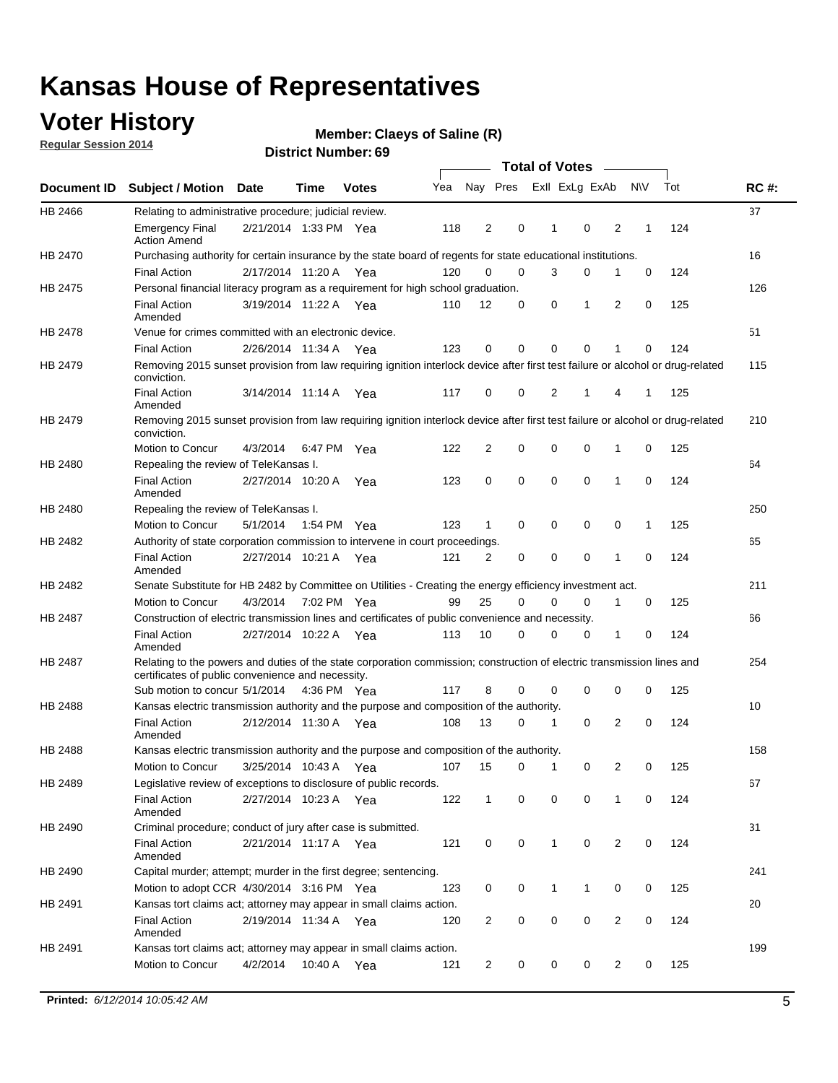### **Voter History**

**Regular Session 2014**

#### **Claeys of Saline (R)**

|                    |                                                                                                                                                                             |                       |             |              |     |                |                         | <b>Total of Votes</b> |              |             |                |             |     |             |
|--------------------|-----------------------------------------------------------------------------------------------------------------------------------------------------------------------------|-----------------------|-------------|--------------|-----|----------------|-------------------------|-----------------------|--------------|-------------|----------------|-------------|-----|-------------|
| <b>Document ID</b> | <b>Subject / Motion Date</b>                                                                                                                                                |                       | Time        | <b>Votes</b> | Yea |                | Nay Pres ExII ExLg ExAb |                       |              |             |                | N\V         | Tot | <b>RC#:</b> |
| HB 2466            | Relating to administrative procedure; judicial review.                                                                                                                      |                       |             |              |     |                |                         |                       |              |             |                |             |     | 37          |
|                    | <b>Emergency Final</b><br><b>Action Amend</b>                                                                                                                               | 2/21/2014 1:33 PM Yea |             |              | 118 | 2              |                         | 0                     | 1            | $\mathbf 0$ | 2              | 1           | 124 |             |
| <b>HB 2470</b>     | Purchasing authority for certain insurance by the state board of regents for state educational institutions.                                                                |                       |             |              |     |                |                         |                       |              |             |                |             |     | 16          |
|                    | <b>Final Action</b>                                                                                                                                                         | 2/17/2014 11:20 A Yea |             |              | 120 | 0              |                         | 0                     | 3            | 0           | 1              | 0           | 124 |             |
| HB 2475            | Personal financial literacy program as a requirement for high school graduation.                                                                                            |                       |             |              |     |                |                         |                       |              |             |                |             |     | 126         |
|                    | <b>Final Action</b><br>Amended                                                                                                                                              | 3/19/2014 11:22 A Yea |             |              | 110 | 12             |                         | 0                     | 0            | 1           | 2              | 0           | 125 |             |
| HB 2478            | Venue for crimes committed with an electronic device.                                                                                                                       |                       |             |              |     |                |                         |                       |              |             |                |             |     | 51          |
|                    | <b>Final Action</b>                                                                                                                                                         | 2/26/2014 11:34 A     |             | Yea          | 123 | 0              |                         | 0                     | $\Omega$     | $\mathbf 0$ | 1              | $\mathbf 0$ | 124 |             |
| HB 2479            | Removing 2015 sunset provision from law requiring ignition interlock device after first test failure or alcohol or drug-related<br>conviction.                              |                       |             |              |     |                |                         |                       |              |             |                |             |     | 115         |
|                    | <b>Final Action</b><br>Amended                                                                                                                                              | 3/14/2014 11:14 A     |             | Yea          | 117 | 0              |                         | 0                     | 2            | 1           | 4              | 1           | 125 |             |
| HB 2479            | Removing 2015 sunset provision from law requiring ignition interlock device after first test failure or alcohol or drug-related<br>conviction.                              |                       |             |              |     |                |                         |                       |              |             |                |             |     | 210         |
|                    | Motion to Concur                                                                                                                                                            | 4/3/2014              |             | 6:47 PM Yea  | 122 | $\overline{2}$ |                         | 0                     | $\mathbf 0$  | 0           | 1              | 0           | 125 |             |
| HB 2480            | Repealing the review of TeleKansas I.                                                                                                                                       |                       |             |              |     |                |                         |                       |              |             |                |             |     | 64          |
|                    | <b>Final Action</b><br>Amended                                                                                                                                              | 2/27/2014 10:20 A Yea |             |              | 123 | 0              |                         | 0                     | $\mathbf 0$  | $\mathbf 0$ | 1              | 0           | 124 |             |
| HB 2480            | Repealing the review of TeleKansas I.                                                                                                                                       |                       |             |              |     |                |                         |                       |              |             |                |             |     | 250         |
|                    | Motion to Concur                                                                                                                                                            | 5/1/2014              | 1:54 PM Yea |              | 123 | 1              |                         | 0                     | 0            | 0           | 0              | 1           | 125 |             |
| HB 2482            | Authority of state corporation commission to intervene in court proceedings.                                                                                                |                       |             |              |     |                |                         |                       |              |             |                |             |     | 65          |
|                    | <b>Final Action</b><br>Amended                                                                                                                                              | 2/27/2014 10:21 A     |             | Yea          | 121 | $\overline{2}$ |                         | 0                     | 0            | $\mathbf 0$ | 1              | 0           | 124 |             |
| HB 2482            | Senate Substitute for HB 2482 by Committee on Utilities - Creating the energy efficiency investment act.                                                                    |                       |             |              |     |                |                         |                       |              |             |                |             |     | 211         |
|                    | Motion to Concur                                                                                                                                                            | 4/3/2014 7:02 PM Yea  |             |              | 99  | 25             |                         | $\Omega$              | 0            | $\mathbf 0$ | 1              | 0           | 125 |             |
| HB 2487            | Construction of electric transmission lines and certificates of public convenience and necessity.                                                                           |                       |             |              |     |                |                         |                       |              |             |                |             |     | 66          |
|                    | <b>Final Action</b><br>Amended                                                                                                                                              | 2/27/2014 10:22 A     |             | Yea          | 113 | 10             |                         | 0                     | 0            | 0           | 1              | 0           | 124 |             |
| HB 2487            | Relating to the powers and duties of the state corporation commission; construction of electric transmission lines and<br>certificates of public convenience and necessity. |                       |             |              |     |                |                         |                       |              |             |                |             |     | 254         |
|                    | Sub motion to concur 5/1/2014                                                                                                                                               |                       | 4:36 PM Yea |              | 117 | 8              |                         | 0                     | 0            | $\mathbf 0$ | $\mathbf 0$    | 0           | 125 |             |
| HB 2488            | Kansas electric transmission authority and the purpose and composition of the authority.                                                                                    |                       |             |              |     |                |                         |                       |              |             |                |             |     | 10          |
|                    | <b>Final Action</b><br>Amended                                                                                                                                              | 2/12/2014 11:30 A Yea |             |              | 108 | 13             |                         | 0                     | 1            | 0           | 2              | 0           | 124 |             |
| <b>HB 2488</b>     | Kansas electric transmission authority and the purpose and composition of the authority.                                                                                    |                       |             |              |     |                |                         |                       |              |             |                |             |     | 158         |
|                    | Motion to Concur                                                                                                                                                            | 3/25/2014 10:43 A     |             | Yea          | 107 | 15             |                         | 0                     | 1            | 0           | 2              | 0           | 125 |             |
| HB 2489            | Legislative review of exceptions to disclosure of public records.                                                                                                           |                       |             |              |     |                |                         |                       |              |             |                |             |     | 67          |
|                    | <b>Final Action</b><br>Amended                                                                                                                                              | 2/27/2014 10:23 A Yea |             |              | 122 | $\mathbf{1}$   |                         | 0                     | 0            | 0           | 1              | 0           | 124 |             |
| HB 2490            | Criminal procedure; conduct of jury after case is submitted.                                                                                                                |                       |             |              |     |                |                         |                       |              |             |                |             |     | 31          |
|                    | <b>Final Action</b><br>Amended                                                                                                                                              | 2/21/2014 11:17 A Yea |             |              | 121 | 0              |                         | 0                     | $\mathbf{1}$ | $\mathbf 0$ | $\overline{2}$ | $\mathbf 0$ | 124 |             |
| HB 2490            | Capital murder; attempt; murder in the first degree; sentencing.                                                                                                            |                       |             |              |     |                |                         |                       |              |             |                |             |     | 241         |
|                    | Motion to adopt CCR 4/30/2014 3:16 PM Yea                                                                                                                                   |                       |             |              | 123 | 0              |                         | 0                     | $\mathbf{1}$ | 1           | 0              | 0           | 125 |             |
| HB 2491            | Kansas tort claims act; attorney may appear in small claims action.                                                                                                         |                       |             |              |     |                |                         |                       |              |             |                |             |     | 20          |
|                    | <b>Final Action</b><br>Amended                                                                                                                                              | 2/19/2014 11:34 A Yea |             |              | 120 | $\overline{c}$ |                         | 0                     | 0            | 0           | $\overline{2}$ | 0           | 124 |             |
| HB 2491            | Kansas tort claims act; attorney may appear in small claims action.                                                                                                         |                       |             |              |     |                |                         |                       |              |             |                |             |     | 199         |
|                    | Motion to Concur                                                                                                                                                            | 4/2/2014              |             | 10:40 A Yea  | 121 | $\overline{2}$ |                         | $\mathbf 0$           | 0            | 0           | $\overline{2}$ | 0           | 125 |             |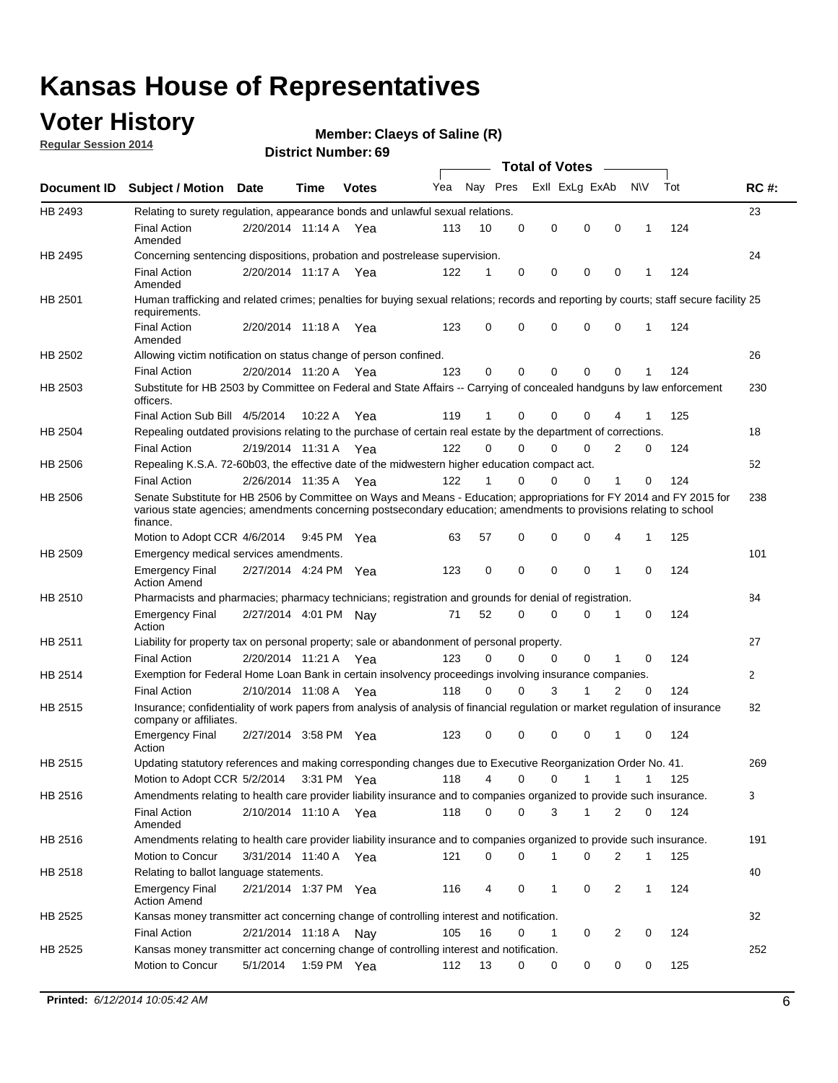### **Voter History**

**Regular Session 2014**

#### **Claeys of Saline (R)**

|                    |                                                                                                                                                                                                                                                        |                       |             |              |     |          |          | <b>Total of Votes</b> |              |                |              |     |             |
|--------------------|--------------------------------------------------------------------------------------------------------------------------------------------------------------------------------------------------------------------------------------------------------|-----------------------|-------------|--------------|-----|----------|----------|-----------------------|--------------|----------------|--------------|-----|-------------|
| <b>Document ID</b> | <b>Subject / Motion Date</b>                                                                                                                                                                                                                           |                       | Time        | <b>Votes</b> | Yea | Nay Pres |          | Exll ExLg ExAb        |              |                | <b>NV</b>    | Tot | <b>RC#:</b> |
| HB 2493            | Relating to surety regulation, appearance bonds and unlawful sexual relations.                                                                                                                                                                         |                       |             |              |     |          |          |                       |              |                |              |     | 23          |
|                    | <b>Final Action</b><br>Amended                                                                                                                                                                                                                         | 2/20/2014 11:14 A     |             | Yea          | 113 | 10       | 0        | 0                     | 0            | 0              | 1            | 124 |             |
| HB 2495            | Concerning sentencing dispositions, probation and postrelease supervision.                                                                                                                                                                             |                       |             |              |     |          |          |                       |              |                |              |     | 24          |
|                    | Final Action<br>Amended                                                                                                                                                                                                                                | 2/20/2014 11:17 A Yea |             |              | 122 | 1        | 0        | 0                     | 0            | 0              | 1            | 124 |             |
| HB 2501            | Human trafficking and related crimes; penalties for buying sexual relations; records and reporting by courts; staff secure facility 25<br>requirements.                                                                                                |                       |             |              |     |          |          |                       |              |                |              |     |             |
|                    | <b>Final Action</b><br>Amended                                                                                                                                                                                                                         | 2/20/2014 11:18 A Yea |             |              | 123 | $\Omega$ | 0        | 0                     | 0            | 0              | 1            | 124 |             |
| HB 2502            | Allowing victim notification on status change of person confined.                                                                                                                                                                                      |                       |             |              |     |          |          |                       |              |                |              |     | 26          |
|                    | Final Action                                                                                                                                                                                                                                           | 2/20/2014 11:20 A Yea |             |              | 123 | 0        | 0        | $\Omega$              | $\mathbf{0}$ | 0              |              | 124 |             |
| HB 2503            | Substitute for HB 2503 by Committee on Federal and State Affairs -- Carrying of concealed handguns by law enforcement<br>officers.                                                                                                                     |                       |             |              |     |          |          |                       |              |                |              |     | 230         |
|                    | Final Action Sub Bill 4/5/2014                                                                                                                                                                                                                         |                       | 10:22 A     | Yea          | 119 |          | 0        | 0                     | 0            | 4              |              | 125 |             |
| HB 2504            | Repealing outdated provisions relating to the purchase of certain real estate by the department of corrections.                                                                                                                                        |                       |             |              |     |          |          |                       |              |                |              |     | 18          |
|                    | <b>Final Action</b>                                                                                                                                                                                                                                    | 2/19/2014 11:31 A Yea |             |              | 122 | $\Omega$ | 0        | $\Omega$              | $\Omega$     | 2              | 0            | 124 |             |
| HB 2506            | Repealing K.S.A. 72-60b03, the effective date of the midwestern higher education compact act.                                                                                                                                                          |                       |             |              |     |          |          |                       |              |                |              |     | 52          |
|                    | <b>Final Action</b>                                                                                                                                                                                                                                    | 2/26/2014 11:35 A Yea |             |              | 122 |          | 0        | 0                     | 0            | 1              | 0            | 124 |             |
| HB 2506            | Senate Substitute for HB 2506 by Committee on Ways and Means - Education; appropriations for FY 2014 and FY 2015 for<br>various state agencies; amendments concerning postsecondary education; amendments to provisions relating to school<br>finance. |                       |             |              |     |          |          |                       |              |                |              |     | 238         |
|                    | Motion to Adopt CCR 4/6/2014                                                                                                                                                                                                                           |                       | 9:45 PM Yea |              | 63  | 57       | 0        | 0                     | 0            | 4              | 1            | 125 |             |
| HB 2509            | Emergency medical services amendments.                                                                                                                                                                                                                 |                       |             |              |     |          |          |                       |              |                |              |     | 101         |
|                    | <b>Emergency Final</b><br><b>Action Amend</b>                                                                                                                                                                                                          | 2/27/2014 4:24 PM Yea |             |              | 123 | 0        | 0        | 0                     | 0            | 1              | $\mathbf 0$  | 124 |             |
| HB 2510            | Pharmacists and pharmacies; pharmacy technicians; registration and grounds for denial of registration.                                                                                                                                                 |                       |             |              |     |          |          |                       |              |                |              |     | 84          |
|                    | <b>Emergency Final</b><br>Action                                                                                                                                                                                                                       | 2/27/2014 4:01 PM Nay |             |              | 71  | 52       | 0        | 0                     | 0            | 1              | 0            | 124 |             |
| HB 2511            | Liability for property tax on personal property; sale or abandonment of personal property.                                                                                                                                                             |                       |             |              |     |          |          |                       |              |                |              |     | 27          |
|                    | <b>Final Action</b>                                                                                                                                                                                                                                    | 2/20/2014 11:21 A     |             | Yea          | 123 | $\Omega$ | 0        | 0                     | 0            | 1              | $\mathbf 0$  | 124 |             |
| HB 2514            | Exemption for Federal Home Loan Bank in certain insolvency proceedings involving insurance companies.                                                                                                                                                  |                       |             |              |     |          |          |                       |              |                |              |     | 2           |
|                    | <b>Final Action</b>                                                                                                                                                                                                                                    | 2/10/2014 11:08 A Yea |             |              | 118 | $\Omega$ | $\Omega$ | 3                     | 1            | $\overline{2}$ | $\mathbf 0$  | 124 |             |
| HB 2515            | Insurance; confidentiality of work papers from analysis of analysis of financial regulation or market regulation of insurance<br>company or affiliates.                                                                                                |                       |             |              |     |          |          |                       |              |                |              |     | 82          |
|                    | <b>Emergency Final</b><br>Action                                                                                                                                                                                                                       | 2/27/2014 3:58 PM Yea |             |              | 123 | 0        | 0        | 0                     | 0            | 1              | 0            | 124 |             |
| HB 2515            | Updating statutory references and making corresponding changes due to Executive Reorganization Order No. 41.                                                                                                                                           |                       |             |              |     |          |          |                       |              |                |              |     | 269         |
|                    | Motion to Adopt CCR 5/2/2014 3:31 PM Yea                                                                                                                                                                                                               |                       |             |              | 118 | 4        | 0        | 0                     | 1            | $\mathbf{1}$   | $\mathbf{1}$ | 125 |             |
| HB 2516            | Amendments relating to health care provider liability insurance and to companies organized to provide such insurance.                                                                                                                                  |                       |             |              |     |          |          |                       |              |                |              |     | 3           |
|                    | <b>Final Action</b><br>Amended                                                                                                                                                                                                                         | 2/10/2014 11:10 A Yea |             |              | 118 | 0        | 0        | 3                     | $\mathbf{1}$ | 2              | 0            | 124 |             |
| HB 2516            | Amendments relating to health care provider liability insurance and to companies organized to provide such insurance.                                                                                                                                  |                       |             |              |     |          |          |                       |              |                |              |     | 191         |
|                    | Motion to Concur                                                                                                                                                                                                                                       | 3/31/2014 11:40 A Yea |             |              | 121 | 0        | 0        | 1                     | 0            | 2              | 1            | 125 |             |
| HB 2518            | Relating to ballot language statements.                                                                                                                                                                                                                |                       |             |              |     |          |          |                       |              |                |              |     | 40          |
|                    | Emergency Final<br><b>Action Amend</b>                                                                                                                                                                                                                 | 2/21/2014 1:37 PM Yea |             |              | 116 | 4        | 0        | 1                     | 0            | 2              | 1            | 124 |             |
| HB 2525            | Kansas money transmitter act concerning change of controlling interest and notification.                                                                                                                                                               |                       |             |              |     |          |          |                       |              |                |              |     | 32          |
|                    | <b>Final Action</b>                                                                                                                                                                                                                                    | 2/21/2014 11:18 A Nay |             |              | 105 | 16       | 0        | $\mathbf{1}$          | 0            | 2              | 0            | 124 |             |
| HB 2525            | Kansas money transmitter act concerning change of controlling interest and notification.                                                                                                                                                               |                       |             |              |     |          |          |                       |              |                |              |     | 252         |
|                    | Motion to Concur                                                                                                                                                                                                                                       | 5/1/2014              |             | 1:59 PM Yea  | 112 | 13       | 0        | 0                     | 0            | 0              | 0            | 125 |             |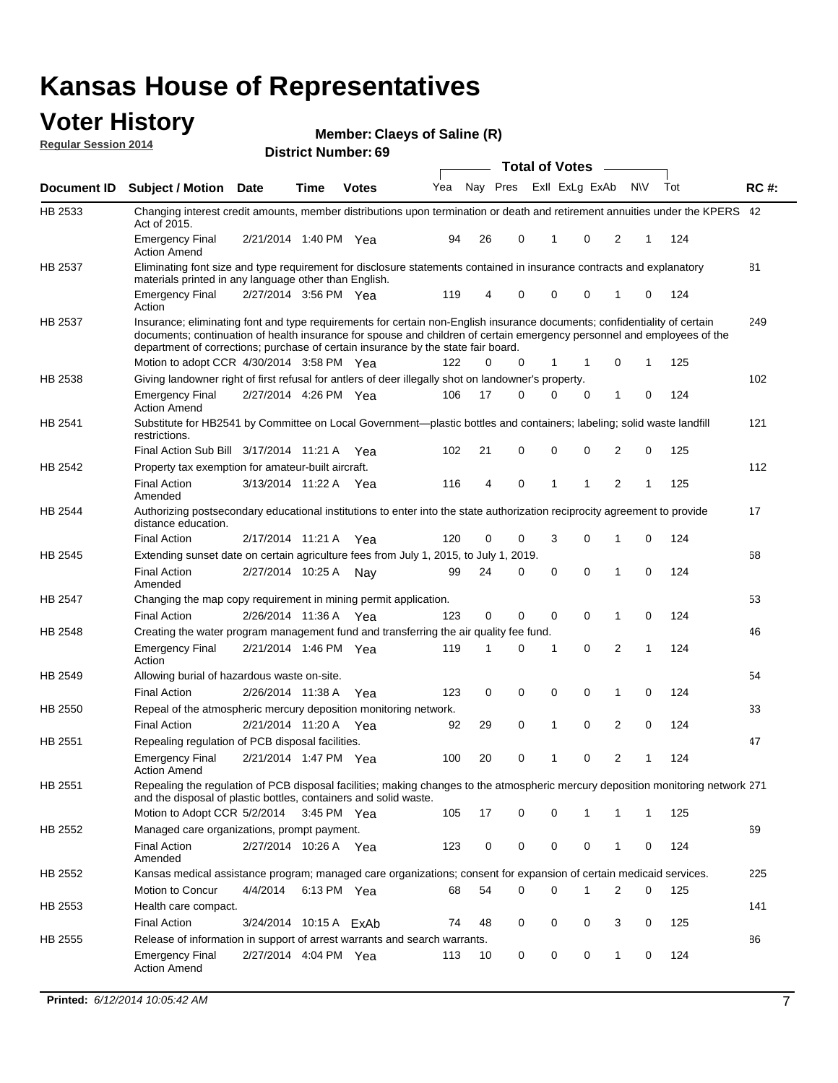#### **Voter History Regular Session 2014**

**Claeys of Saline (R)**

|                | PISUIUL NUIIIDEI . UJ<br><b>Total of Votes</b>                                                                                                                                                                                                                                                                                            |                        |             |              |     |    |             |  |              |                |              |   |     |             |
|----------------|-------------------------------------------------------------------------------------------------------------------------------------------------------------------------------------------------------------------------------------------------------------------------------------------------------------------------------------------|------------------------|-------------|--------------|-----|----|-------------|--|--------------|----------------|--------------|---|-----|-------------|
| Document ID    | <b>Subject / Motion Date</b>                                                                                                                                                                                                                                                                                                              |                        | Time        | <b>Votes</b> | Yea |    | Nay Pres    |  |              | Exll ExLg ExAb | N\V          |   | Tot | <b>RC#:</b> |
| HB 2533        | Changing interest credit amounts, member distributions upon termination or death and retirement annuities under the KPERS 42<br>Act of 2015.                                                                                                                                                                                              |                        |             |              |     |    |             |  |              |                |              |   |     |             |
|                | <b>Emergency Final</b><br><b>Action Amend</b>                                                                                                                                                                                                                                                                                             | 2/21/2014 1:40 PM Yea  |             |              | 94  | 26 | 0           |  | $\mathbf{1}$ | 0              | 2            | 1 | 124 |             |
| HB 2537        | Eliminating font size and type requirement for disclosure statements contained in insurance contracts and explanatory<br>materials printed in any language other than English.                                                                                                                                                            |                        |             |              |     |    |             |  |              |                |              |   |     | 81          |
|                | <b>Emergency Final</b><br>Action                                                                                                                                                                                                                                                                                                          | 2/27/2014 3:56 PM Yea  |             |              | 119 | 4  | 0           |  | 0            | 0              | 1            | 0 | 124 |             |
| HB 2537        | Insurance; eliminating font and type requirements for certain non-English insurance documents; confidentiality of certain<br>documents; continuation of health insurance for spouse and children of certain emergency personnel and employees of the<br>department of corrections; purchase of certain insurance by the state fair board. |                        |             |              |     |    |             |  |              |                |              |   |     | 249         |
|                | Motion to adopt CCR 4/30/2014 3:58 PM Yea                                                                                                                                                                                                                                                                                                 |                        |             |              | 122 | 0  | 0           |  | 1            | -1             | 0            | 1 | 125 |             |
| HB 2538        | Giving landowner right of first refusal for antlers of deer illegally shot on landowner's property.                                                                                                                                                                                                                                       |                        |             |              |     |    |             |  |              |                |              |   |     | 102         |
|                | <b>Emergency Final</b><br><b>Action Amend</b>                                                                                                                                                                                                                                                                                             | 2/27/2014 4:26 PM Yea  |             |              | 106 | 17 | 0           |  | 0            | 0              | 1            | 0 | 124 |             |
| HB 2541        | Substitute for HB2541 by Committee on Local Government—plastic bottles and containers; labeling; solid waste landfill<br>restrictions.                                                                                                                                                                                                    |                        |             |              |     |    |             |  |              |                |              |   |     | 121         |
|                | Final Action Sub Bill 3/17/2014 11:21 A Yea                                                                                                                                                                                                                                                                                               |                        |             |              | 102 | 21 | 0           |  | $\mathbf 0$  | 0              | 2            | 0 | 125 |             |
| HB 2542        | Property tax exemption for amateur-built aircraft.<br><b>Final Action</b><br>Amended                                                                                                                                                                                                                                                      | 3/13/2014 11:22 A Yea  |             |              | 116 | 4  | 0           |  | $\mathbf{1}$ | 1              | 2            | 1 | 125 | 112         |
| HB 2544        | Authorizing postsecondary educational institutions to enter into the state authorization reciprocity agreement to provide<br>distance education.                                                                                                                                                                                          |                        |             |              |     |    |             |  |              |                |              |   |     | 17          |
|                | <b>Final Action</b>                                                                                                                                                                                                                                                                                                                       | 2/17/2014 11:21 A Yea  |             |              | 120 | 0  | 0           |  | 3            | 0              | 1            | 0 | 124 |             |
| HB 2545        | Extending sunset date on certain agriculture fees from July 1, 2015, to July 1, 2019.                                                                                                                                                                                                                                                     |                        |             |              |     |    |             |  |              |                |              |   |     | 68          |
|                | <b>Final Action</b><br>Amended                                                                                                                                                                                                                                                                                                            | 2/27/2014 10:25 A Nav  |             |              | 99  | 24 | 0           |  | $\mathbf 0$  | $\Omega$       | 1            | 0 | 124 |             |
| <b>HB 2547</b> | Changing the map copy requirement in mining permit application.                                                                                                                                                                                                                                                                           |                        |             |              |     |    |             |  |              |                |              |   |     | 53          |
|                | <b>Final Action</b>                                                                                                                                                                                                                                                                                                                       | 2/26/2014 11:36 A      |             | Yea          | 123 | 0  | 0           |  | 0            | 0              | 1            | 0 | 124 |             |
| HB 2548        | Creating the water program management fund and transferring the air quality fee fund.                                                                                                                                                                                                                                                     |                        |             |              |     |    |             |  |              |                |              |   |     | 46          |
|                | <b>Emergency Final</b><br>Action                                                                                                                                                                                                                                                                                                          | 2/21/2014 1:46 PM Yea  |             |              | 119 | 1  | 0           |  | 1            | 0              | 2            | 1 | 124 |             |
| HB 2549        | Allowing burial of hazardous waste on-site.                                                                                                                                                                                                                                                                                               |                        |             |              |     |    |             |  |              |                |              |   |     | 54          |
|                | <b>Final Action</b>                                                                                                                                                                                                                                                                                                                       | 2/26/2014 11:38 A      |             | Yea          | 123 | 0  | $\mathbf 0$ |  | 0            | 0              | 1            | 0 | 124 |             |
| HB 2550        | Repeal of the atmospheric mercury deposition monitoring network.                                                                                                                                                                                                                                                                          |                        |             |              |     |    |             |  |              |                |              |   |     | 33          |
|                | <b>Final Action</b>                                                                                                                                                                                                                                                                                                                       | 2/21/2014 11:20 A Yea  |             |              | 92  | 29 | 0           |  | 1            | 0              | 2            | 0 | 124 |             |
| HB 2551        | Repealing regulation of PCB disposal facilities.                                                                                                                                                                                                                                                                                          |                        |             |              |     |    |             |  |              |                |              |   |     | 47          |
|                | <b>Emergency Final</b><br>Action Amend                                                                                                                                                                                                                                                                                                    | 2/21/2014 1:47 PM Yea  |             |              | 100 | 20 | 0           |  | 1            | 0              | 2            | 1 | 124 |             |
| HB 2551        | Repealing the regulation of PCB disposal facilities; making changes to the atmospheric mercury deposition monitoring network 271<br>and the disposal of plastic bottles, containers and solid waste.                                                                                                                                      |                        |             |              |     |    |             |  |              |                |              |   |     |             |
|                | Motion to Adopt CCR 5/2/2014 3:45 PM Yea                                                                                                                                                                                                                                                                                                  |                        |             |              | 105 | 17 | 0           |  | 0            | 1              | 1            | 1 | 125 |             |
| HB 2552        | Managed care organizations, prompt payment.                                                                                                                                                                                                                                                                                               |                        |             |              |     |    |             |  |              |                |              |   |     | 69          |
|                | <b>Final Action</b><br>Amended                                                                                                                                                                                                                                                                                                            | 2/27/2014 10:26 A Yea  |             |              | 123 | 0  | 0           |  | 0            | 0              | 1            | 0 | 124 |             |
| HB 2552        | Kansas medical assistance program; managed care organizations; consent for expansion of certain medicaid services.                                                                                                                                                                                                                        |                        |             |              |     |    |             |  |              |                |              |   |     | 225         |
|                | Motion to Concur                                                                                                                                                                                                                                                                                                                          | 4/4/2014               | 6:13 PM Yea |              | 68  | 54 | 0           |  | 0            | 1              | 2            | 0 | 125 |             |
| HB 2553        | Health care compact.                                                                                                                                                                                                                                                                                                                      |                        |             |              |     |    |             |  |              |                |              |   |     | 141         |
|                | <b>Final Action</b>                                                                                                                                                                                                                                                                                                                       | 3/24/2014 10:15 A ExAb |             |              | 74  | 48 | 0           |  | 0            | 0              | 3            | 0 | 125 |             |
| HB 2555        | Release of information in support of arrest warrants and search warrants.                                                                                                                                                                                                                                                                 |                        |             |              |     |    |             |  |              |                |              |   |     | 86          |
|                | <b>Emergency Final</b><br><b>Action Amend</b>                                                                                                                                                                                                                                                                                             | 2/27/2014 4:04 PM Yea  |             |              | 113 | 10 | 0           |  | 0            | 0              | $\mathbf{1}$ | 0 | 124 |             |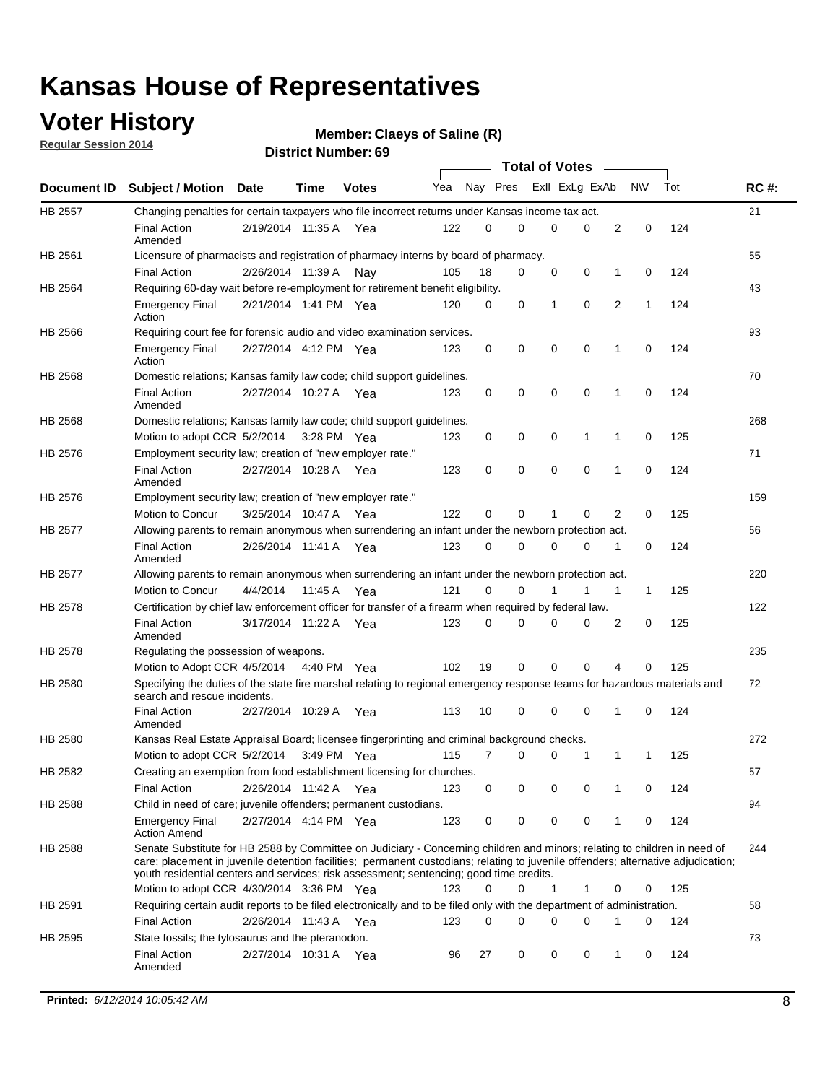### **Voter History**

**Regular Session 2014**

```
Claeys of Saline (R)
```

|                |                                                                                                                                                                                                                                                                                                                                                           |                       |             | <b>DISTRICT MAILINGL'S</b> |     |          |   | <b>Total of Votes</b> |                   |                   |     |             |
|----------------|-----------------------------------------------------------------------------------------------------------------------------------------------------------------------------------------------------------------------------------------------------------------------------------------------------------------------------------------------------------|-----------------------|-------------|----------------------------|-----|----------|---|-----------------------|-------------------|-------------------|-----|-------------|
|                | Document ID Subject / Motion Date                                                                                                                                                                                                                                                                                                                         |                       | <b>Time</b> | <b>Votes</b>               | Yea | Nay Pres |   | Exll ExLg ExAb        |                   | <b>NV</b>         | Tot | <b>RC#:</b> |
| <b>HB 2557</b> | Changing penalties for certain taxpayers who file incorrect returns under Kansas income tax act.                                                                                                                                                                                                                                                          |                       |             |                            |     |          |   |                       |                   |                   |     | 21          |
|                | <b>Final Action</b><br>Amended                                                                                                                                                                                                                                                                                                                            | 2/19/2014 11:35 A Yea |             |                            | 122 | 0        | 0 | 0                     | $\Omega$          | 2<br>$\mathbf 0$  | 124 |             |
| HB 2561        | Licensure of pharmacists and registration of pharmacy interns by board of pharmacy.                                                                                                                                                                                                                                                                       |                       |             |                            |     |          |   |                       |                   |                   |     | 55          |
|                | <b>Final Action</b>                                                                                                                                                                                                                                                                                                                                       | 2/26/2014 11:39 A     |             | Nav                        | 105 | 18       | 0 | 0                     | 0<br>1            | 0                 | 124 |             |
| HB 2564        | Requiring 60-day wait before re-employment for retirement benefit eligibility.                                                                                                                                                                                                                                                                            |                       |             |                            |     |          |   |                       |                   |                   |     | 43          |
|                | <b>Emergency Final</b><br>Action                                                                                                                                                                                                                                                                                                                          | 2/21/2014 1:41 PM Yea |             |                            | 120 | 0        | 0 | 1                     | 0                 | 2<br>$\mathbf{1}$ | 124 |             |
| HB 2566        | Requiring court fee for forensic audio and video examination services.                                                                                                                                                                                                                                                                                    |                       |             |                            |     |          |   |                       |                   |                   |     | 93          |
|                | <b>Emergency Final</b><br>Action                                                                                                                                                                                                                                                                                                                          | 2/27/2014 4:12 PM Yea |             |                            | 123 | 0        | 0 | 0                     | $\mathbf 0$<br>1  | 0                 | 124 |             |
| HB 2568        | Domestic relations; Kansas family law code; child support guidelines.                                                                                                                                                                                                                                                                                     |                       |             |                            |     |          |   |                       |                   |                   |     | 70          |
|                | <b>Final Action</b><br>Amended                                                                                                                                                                                                                                                                                                                            | 2/27/2014 10:27 A Yea |             |                            | 123 | 0        | 0 | 0                     | 0<br>$\mathbf{1}$ | 0                 | 124 |             |
| HB 2568        | Domestic relations; Kansas family law code; child support guidelines.                                                                                                                                                                                                                                                                                     |                       |             |                            |     |          |   |                       |                   |                   |     | 268         |
|                | Motion to adopt CCR 5/2/2014                                                                                                                                                                                                                                                                                                                              |                       | 3:28 PM Yea |                            | 123 | 0        | 0 | 0                     | 1<br>1            | 0                 | 125 |             |
| HB 2576        | Employment security law; creation of "new employer rate."                                                                                                                                                                                                                                                                                                 |                       |             |                            |     |          |   |                       |                   |                   |     | 71          |
|                | <b>Final Action</b><br>Amended                                                                                                                                                                                                                                                                                                                            | 2/27/2014 10:28 A     |             | Yea                        | 123 | 0        | 0 | 0                     | $\mathbf 0$<br>1  | $\mathbf 0$       | 124 |             |
| HB 2576        | Employment security law; creation of "new employer rate."                                                                                                                                                                                                                                                                                                 |                       |             |                            |     |          |   |                       |                   |                   |     | 159         |
|                | Motion to Concur                                                                                                                                                                                                                                                                                                                                          | 3/25/2014 10:47 A     |             | Yea                        | 122 | 0        | 0 | 1                     | 0                 | 2<br>0            | 125 |             |
| <b>HB 2577</b> | Allowing parents to remain anonymous when surrendering an infant under the newborn protection act.                                                                                                                                                                                                                                                        |                       |             |                            |     |          |   |                       |                   |                   |     | 56          |
|                | <b>Final Action</b><br>Amended                                                                                                                                                                                                                                                                                                                            | 2/26/2014 11:41 A Yea |             |                            | 123 | 0        | 0 | 0                     | 0<br>1            | 0                 | 124 |             |
| HB 2577        | Allowing parents to remain anonymous when surrendering an infant under the newborn protection act.                                                                                                                                                                                                                                                        |                       |             |                            |     |          |   |                       |                   |                   |     | 220         |
|                | <b>Motion to Concur</b>                                                                                                                                                                                                                                                                                                                                   | 4/4/2014              | 11:45 A     | Yea                        | 121 | $\Omega$ | 0 |                       | 1                 | 1<br>$\mathbf{1}$ | 125 |             |
| HB 2578        | Certification by chief law enforcement officer for transfer of a firearm when required by federal law.                                                                                                                                                                                                                                                    |                       |             |                            |     |          |   |                       |                   |                   |     | 122         |
|                | <b>Final Action</b><br>Amended                                                                                                                                                                                                                                                                                                                            | 3/17/2014 11:22 A Yea |             |                            | 123 | 0        | 0 | 0                     | $\Omega$          | 2<br>0            | 125 |             |
| HB 2578        | Regulating the possession of weapons.                                                                                                                                                                                                                                                                                                                     |                       |             |                            |     |          |   |                       |                   |                   |     | 235         |
|                | Motion to Adopt CCR 4/5/2014 4:40 PM Yea                                                                                                                                                                                                                                                                                                                  |                       |             |                            | 102 | 19       | 0 | 0                     | $\mathbf 0$       | 4<br>0            | 125 |             |
| HB 2580        | Specifying the duties of the state fire marshal relating to regional emergency response teams for hazardous materials and<br>search and rescue incidents.                                                                                                                                                                                                 |                       |             |                            |     |          |   |                       |                   |                   |     | 72          |
|                | <b>Final Action</b><br>Amended                                                                                                                                                                                                                                                                                                                            | 2/27/2014 10:29 A     |             | Yea                        | 113 | 10       | 0 | 0                     | 0<br>1            | 0                 | 124 |             |
| HB 2580        | Kansas Real Estate Appraisal Board; licensee fingerprinting and criminal background checks.                                                                                                                                                                                                                                                               |                       |             |                            |     |          |   |                       |                   |                   |     | 272         |
|                | Motion to adopt CCR 5/2/2014                                                                                                                                                                                                                                                                                                                              |                       | 3:49 PM Yea |                            | 115 | 7        | 0 | 0                     | 1                 | 1<br>-1           | 125 |             |
| HB 2582        | Creating an exemption from food establishment licensing for churches.                                                                                                                                                                                                                                                                                     |                       |             |                            |     |          |   |                       |                   |                   |     | 57          |
|                | <b>Final Action</b>                                                                                                                                                                                                                                                                                                                                       | 2/26/2014 11:42 A     |             | Yea                        | 123 | 0        | 0 | 0                     | 0<br>1            | 0                 | 124 |             |
| HB 2588        | Child in need of care; juvenile offenders; permanent custodians.                                                                                                                                                                                                                                                                                          |                       |             |                            |     |          |   |                       |                   |                   |     | 94          |
|                | <b>Emergency Final</b><br><b>Action Amend</b>                                                                                                                                                                                                                                                                                                             | 2/27/2014 4:14 PM Yea |             |                            | 123 | 0        | 0 | 0                     | 0<br>1            | 0                 | 124 |             |
| HB 2588        | Senate Substitute for HB 2588 by Committee on Judiciary - Concerning children and minors; relating to children in need of<br>care; placement in juvenile detention facilities; permanent custodians; relating to juvenile offenders; alternative adjudication;<br>youth residential centers and services; risk assessment; sentencing; good time credits. |                       |             |                            |     |          |   |                       |                   |                   |     | 244         |
|                | Motion to adopt CCR 4/30/2014 3:36 PM Yea                                                                                                                                                                                                                                                                                                                 |                       |             |                            | 123 | $\Omega$ | 0 | $\mathbf{1}$          | 1<br>0            | 0                 | 125 |             |
| HB 2591        | Requiring certain audit reports to be filed electronically and to be filed only with the department of administration.                                                                                                                                                                                                                                    |                       |             |                            |     |          |   |                       |                   |                   |     | 58          |
|                | <b>Final Action</b>                                                                                                                                                                                                                                                                                                                                       | 2/26/2014 11:43 A Yea |             |                            | 123 | 0        | 0 | 0                     | 0<br>1            | 0                 | 124 |             |
| HB 2595        | State fossils; the tylosaurus and the pteranodon.                                                                                                                                                                                                                                                                                                         |                       |             |                            |     |          |   |                       |                   |                   |     | 73          |
|                | <b>Final Action</b><br>Amended                                                                                                                                                                                                                                                                                                                            | 2/27/2014 10:31 A Yea |             |                            | 96  | 27       | 0 | 0                     | 0<br>1            | 0                 | 124 |             |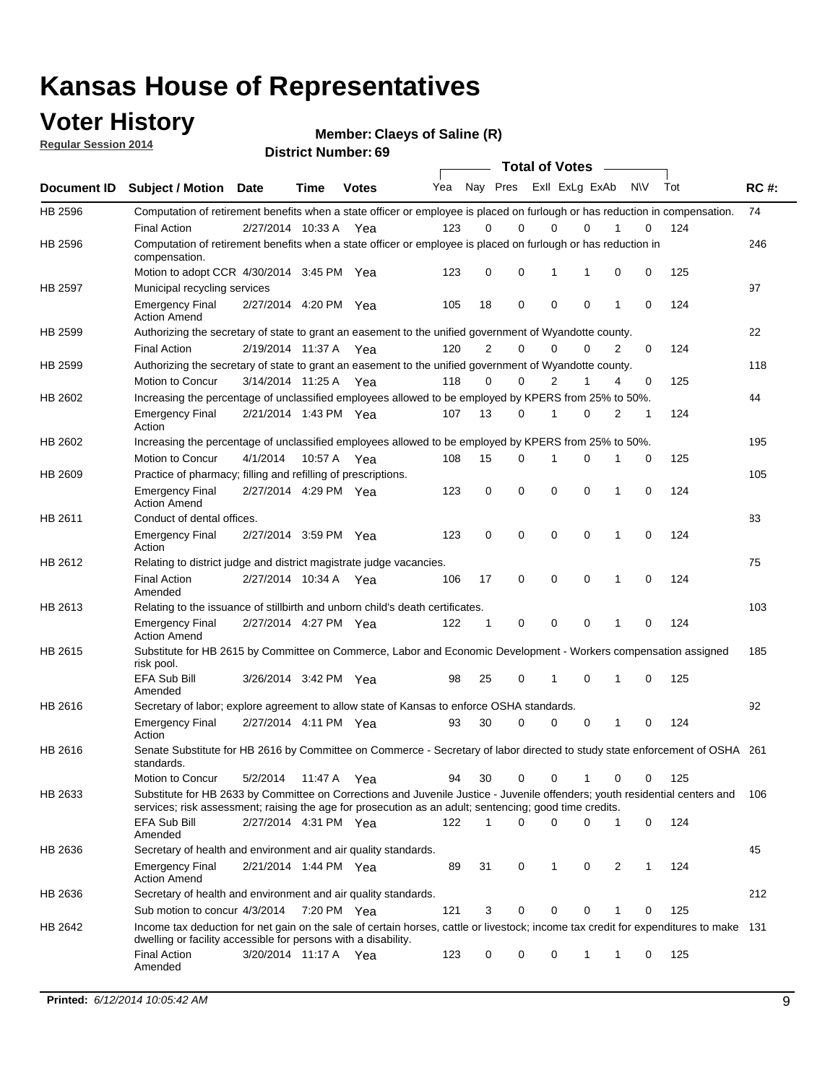### **Voter History**

**Regular Session 2014**

**Claeys of Saline (R)**

|             |                                                                                                                                                                                                                                       |                       |             | DISUILU NUIIINGI . UJ |     |                |             | <b>Total of Votes</b>   |             |   |           |     |             |
|-------------|---------------------------------------------------------------------------------------------------------------------------------------------------------------------------------------------------------------------------------------|-----------------------|-------------|-----------------------|-----|----------------|-------------|-------------------------|-------------|---|-----------|-----|-------------|
| Document ID | <b>Subject / Motion Date</b>                                                                                                                                                                                                          |                       | Time        | <b>Votes</b>          | Yea |                |             | Nay Pres ExII ExLg ExAb |             |   | <b>NV</b> | Tot | <b>RC#:</b> |
| HB 2596     | Computation of retirement benefits when a state officer or employee is placed on furlough or has reduction in compensation.                                                                                                           |                       |             |                       |     |                |             |                         |             |   |           |     | 74          |
|             | <b>Final Action</b>                                                                                                                                                                                                                   | 2/27/2014 10:33 A     |             | Yea                   | 123 | 0              | $\Omega$    | 0                       | 0           |   | 0         | 124 |             |
| HB 2596     | Computation of retirement benefits when a state officer or employee is placed on furlough or has reduction in<br>compensation.                                                                                                        |                       |             |                       |     |                |             |                         |             |   |           |     | 246         |
|             | Motion to adopt CCR 4/30/2014 3:45 PM Yea                                                                                                                                                                                             |                       |             |                       | 123 | 0              | $\mathbf 0$ | 1                       | 1           | 0 | 0         | 125 |             |
| HB 2597     | Municipal recycling services                                                                                                                                                                                                          |                       |             |                       |     |                |             |                         |             |   |           |     | 97          |
|             | <b>Emergency Final</b><br><b>Action Amend</b>                                                                                                                                                                                         | 2/27/2014 4:20 PM Yea |             |                       | 105 | 18             | $\mathbf 0$ | $\mathbf 0$             | $\mathbf 0$ | 1 | 0         | 124 |             |
| HB 2599     | Authorizing the secretary of state to grant an easement to the unified government of Wyandotte county.                                                                                                                                |                       |             |                       |     |                |             |                         |             |   |           |     | 22          |
|             | <b>Final Action</b>                                                                                                                                                                                                                   | 2/19/2014 11:37 A Yea |             |                       | 120 | $\overline{2}$ | 0           | $\mathbf 0$             | 0           | 2 | 0         | 124 |             |
| HB 2599     | Authorizing the secretary of state to grant an easement to the unified government of Wyandotte county.                                                                                                                                |                       |             |                       |     |                |             |                         |             |   |           |     | 118         |
|             | Motion to Concur                                                                                                                                                                                                                      | 3/14/2014 11:25 A Yea |             |                       | 118 | 0              | 0           | $\overline{2}$          | 1           | 4 | 0         | 125 |             |
| HB 2602     | Increasing the percentage of unclassified employees allowed to be employed by KPERS from 25% to 50%.                                                                                                                                  |                       |             |                       |     |                |             |                         |             |   |           |     | 44          |
|             | <b>Emergency Final</b><br>Action                                                                                                                                                                                                      | 2/21/2014 1:43 PM Yea |             |                       | 107 | 13             | 0           | 1                       | 0           | 2 | 1         | 124 |             |
| HB 2602     | Increasing the percentage of unclassified employees allowed to be employed by KPERS from 25% to 50%.                                                                                                                                  |                       |             |                       |     |                |             |                         |             |   |           |     | 195         |
|             | Motion to Concur                                                                                                                                                                                                                      | 4/1/2014              | 10:57 A     | Yea                   | 108 | 15             | 0           | 1                       | 0           |   | 0         | 125 |             |
| HB 2609     | Practice of pharmacy; filling and refilling of prescriptions.                                                                                                                                                                         |                       |             |                       |     |                |             |                         |             |   |           |     | 105         |
|             | <b>Emergency Final</b><br><b>Action Amend</b>                                                                                                                                                                                         | 2/27/2014 4:29 PM Yea |             |                       | 123 | 0              | $\mathbf 0$ | $\mathbf 0$             | $\mathbf 0$ | 1 | 0         | 124 |             |
| HB 2611     | Conduct of dental offices.                                                                                                                                                                                                            |                       |             |                       |     |                |             |                         |             |   |           |     | 83          |
|             | <b>Emergency Final</b><br>Action                                                                                                                                                                                                      | 2/27/2014 3:59 PM Yea |             |                       | 123 | 0              | $\mathbf 0$ | $\mathbf 0$             | $\mathbf 0$ | 1 | 0         | 124 |             |
| HB 2612     | Relating to district judge and district magistrate judge vacancies.                                                                                                                                                                   |                       |             |                       |     |                |             |                         |             |   |           |     | 75          |
|             | <b>Final Action</b><br>Amended                                                                                                                                                                                                        | 2/27/2014 10:34 A     |             | Yea                   | 106 | 17             | $\mathbf 0$ | $\mathbf 0$             | $\mathbf 0$ | 1 | 0         | 124 |             |
| HB 2613     | Relating to the issuance of stillbirth and unborn child's death certificates.                                                                                                                                                         |                       |             |                       |     |                |             |                         |             |   |           |     | 103         |
|             | <b>Emergency Final</b><br><b>Action Amend</b>                                                                                                                                                                                         | 2/27/2014 4:27 PM Yea |             |                       | 122 | 1              | 0           | $\mathbf 0$             | $\Omega$    | 1 | 0         | 124 |             |
| HB 2615     | Substitute for HB 2615 by Committee on Commerce, Labor and Economic Development - Workers compensation assigned<br>risk pool.                                                                                                         |                       |             |                       |     |                |             |                         |             |   |           |     | 185         |
|             | EFA Sub Bill<br>Amended                                                                                                                                                                                                               | 3/26/2014 3:42 PM Yea |             |                       | 98  | 25             | 0           | 1                       | 0           | 1 | 0         | 125 |             |
| HB 2616     | Secretary of labor; explore agreement to allow state of Kansas to enforce OSHA standards.                                                                                                                                             |                       |             |                       |     |                |             |                         |             |   |           |     | 92          |
|             | <b>Emergency Final</b><br>Action                                                                                                                                                                                                      | 2/27/2014 4:11 PM Yea |             |                       | 93  | 30             | 0           | 0                       | 0           | 1 | 0         | 124 |             |
| HB 2616     | Senate Substitute for HB 2616 by Committee on Commerce - Secretary of labor directed to study state enforcement of OSHA 261<br>standards.                                                                                             |                       |             |                       |     |                |             |                         |             |   |           |     |             |
|             | Motion to Concur                                                                                                                                                                                                                      | 5/2/2014              | 11:47 A Yea |                       | 94  | 30             | 0           | 0                       | 1           | 0 | 0         | 125 |             |
| HB 2633     | Substitute for HB 2633 by Committee on Corrections and Juvenile Justice - Juvenile offenders; youth residential centers and<br>services; risk assessment; raising the age for prosecution as an adult; sentencing; good time credits. |                       |             |                       |     |                |             |                         |             |   |           |     | 106         |
|             | EFA Sub Bill<br>Amended                                                                                                                                                                                                               | 2/27/2014 4:31 PM Yea |             |                       | 122 | 1              | 0           | 0                       | 0           | 1 | 0         | 124 |             |
| HB 2636     | Secretary of health and environment and air quality standards.                                                                                                                                                                        |                       |             |                       |     |                |             |                         |             |   |           |     | 45          |
|             | <b>Emergency Final</b><br><b>Action Amend</b>                                                                                                                                                                                         | 2/21/2014 1:44 PM Yea |             |                       | 89  | 31             | 0           | 1                       | 0           | 2 | 1         | 124 |             |
| HB 2636     | Secretary of health and environment and air quality standards.                                                                                                                                                                        |                       |             |                       |     |                |             |                         |             |   |           |     | 212         |
|             | Sub motion to concur 4/3/2014                                                                                                                                                                                                         |                       | 7:20 PM Yea |                       | 121 | 3              | 0           | 0                       | 0           | 1 | 0         | 125 |             |
| HB 2642     | Income tax deduction for net gain on the sale of certain horses, cattle or livestock; income tax credit for expenditures to make 131                                                                                                  |                       |             |                       |     |                |             |                         |             |   |           |     |             |
|             | dwelling or facility accessible for persons with a disability.<br><b>Final Action</b>                                                                                                                                                 | 3/20/2014 11:17 A Yea |             |                       | 123 | 0              | 0           | 0                       | 1           | 1 | 0         | 125 |             |
|             | Amended                                                                                                                                                                                                                               |                       |             |                       |     |                |             |                         |             |   |           |     |             |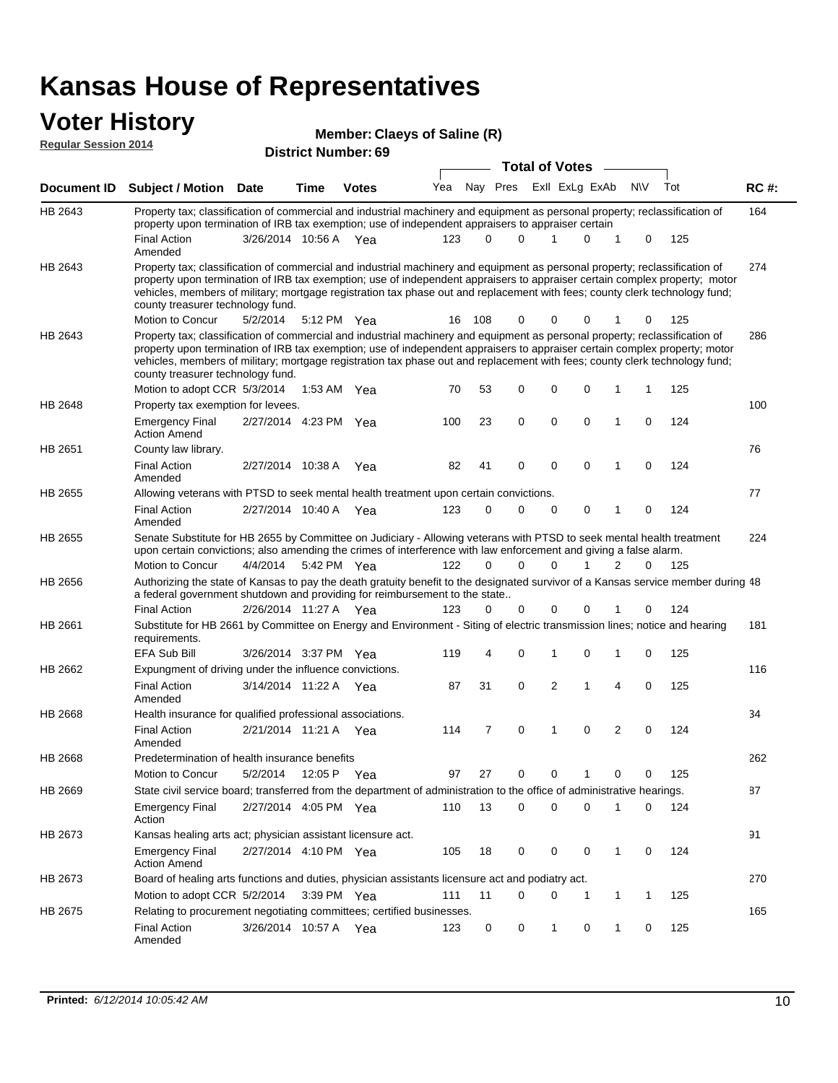### **Voter History**

| Member: Claeys of Saline (R) |  |
|------------------------------|--|
|------------------------------|--|

| <b>Regular Session 2014</b> |                                                                                                                                                                                                                                                                                                                                                                                                                               | <b>District Number: 69</b> |             |              |     |          |                         |   |             |             |                |             |     |             |
|-----------------------------|-------------------------------------------------------------------------------------------------------------------------------------------------------------------------------------------------------------------------------------------------------------------------------------------------------------------------------------------------------------------------------------------------------------------------------|----------------------------|-------------|--------------|-----|----------|-------------------------|---|-------------|-------------|----------------|-------------|-----|-------------|
|                             |                                                                                                                                                                                                                                                                                                                                                                                                                               | <b>Total of Votes</b>      |             |              |     |          |                         |   |             |             |                |             |     |             |
| <b>Document ID</b>          | <b>Subject / Motion Date</b>                                                                                                                                                                                                                                                                                                                                                                                                  |                            | <b>Time</b> | <b>Votes</b> | Yea |          | Nay Pres ExII ExLg ExAb |   |             |             |                | <b>NV</b>   | Tot | <b>RC#:</b> |
| HB 2643                     | Property tax; classification of commercial and industrial machinery and equipment as personal property; reclassification of<br>property upon termination of IRB tax exemption; use of independent appraisers to appraiser certain                                                                                                                                                                                             |                            |             |              |     |          |                         |   |             |             |                |             |     | 164         |
|                             | <b>Final Action</b><br>Amended                                                                                                                                                                                                                                                                                                                                                                                                | 3/26/2014 10:56 A          |             | - Yea        | 123 | $\Omega$ | $\Omega$                | 1 |             | 0           | 1              | 0           | 125 |             |
| HB 2643                     | Property tax; classification of commercial and industrial machinery and equipment as personal property; reclassification of<br>property upon termination of IRB tax exemption; use of independent appraisers to appraiser certain complex property; motor<br>vehicles, members of military; mortgage registration tax phase out and replacement with fees; county clerk technology fund;<br>county treasurer technology fund. |                            |             |              |     |          |                         |   |             |             |                |             |     | 274         |
|                             | Motion to Concur                                                                                                                                                                                                                                                                                                                                                                                                              | 5/2/2014                   |             | 5:12 PM Yea  | 16  | 108      | 0                       |   | 0           | 0           |                | 0           | 125 |             |
| HB 2643                     | Property tax; classification of commercial and industrial machinery and equipment as personal property; reclassification of<br>property upon termination of IRB tax exemption; use of independent appraisers to appraiser certain complex property; motor<br>vehicles, members of military; mortgage registration tax phase out and replacement with fees; county clerk technology fund;<br>county treasurer technology fund. |                            |             |              |     |          |                         |   |             |             |                |             |     | 286         |
| HB 2648                     | Motion to adopt CCR 5/3/2014                                                                                                                                                                                                                                                                                                                                                                                                  |                            | 1:53 AM     | Yea          | 70  | 53       | 0                       |   | 0           | 0           | 1              | 1           | 125 | 100         |
|                             | Property tax exemption for levees.<br><b>Emergency Final</b><br><b>Action Amend</b>                                                                                                                                                                                                                                                                                                                                           | 2/27/2014 4:23 PM          |             | Yea          | 100 | 23       | 0                       |   | $\mathbf 0$ | $\mathbf 0$ | 1              | 0           | 124 |             |
| HB 2651                     | County law library.                                                                                                                                                                                                                                                                                                                                                                                                           |                            |             |              |     |          |                         |   |             |             |                |             |     | 76          |
|                             | <b>Final Action</b><br>Amended                                                                                                                                                                                                                                                                                                                                                                                                | 2/27/2014 10:38 A          |             | Yea          | 82  | 41       | 0                       |   | 0           | $\mathbf 0$ | 1              | 0           | 124 |             |
| HB 2655                     | Allowing veterans with PTSD to seek mental health treatment upon certain convictions.                                                                                                                                                                                                                                                                                                                                         |                            |             |              |     |          |                         |   |             |             |                |             |     | 77          |
|                             | <b>Final Action</b><br>Amended                                                                                                                                                                                                                                                                                                                                                                                                | 2/27/2014 10:40 A Yea      |             |              | 123 | 0        | 0                       |   | 0           | 0           | 1              | 0           | 124 |             |
| HB 2655                     | Senate Substitute for HB 2655 by Committee on Judiciary - Allowing veterans with PTSD to seek mental health treatment<br>upon certain convictions; also amending the crimes of interference with law enforcement and giving a false alarm.                                                                                                                                                                                    |                            |             |              |     |          |                         |   |             |             |                |             |     | 224         |
|                             | Motion to Concur                                                                                                                                                                                                                                                                                                                                                                                                              | 4/4/2014                   |             | 5:42 PM Yea  | 122 | $\Omega$ | $\Omega$                |   | 0           |             | 2              | $\Omega$    | 125 |             |
| HB 2656                     | Authorizing the state of Kansas to pay the death gratuity benefit to the designated survivor of a Kansas service member during 48<br>a federal government shutdown and providing for reimbursement to the state                                                                                                                                                                                                               |                            |             |              |     |          |                         |   |             |             |                |             |     |             |
|                             | <b>Final Action</b>                                                                                                                                                                                                                                                                                                                                                                                                           | 2/26/2014 11:27 A Yea      |             |              | 123 | 0        | 0                       |   | 0           | 0           |                | 0           | 124 |             |
| HB 2661                     | Substitute for HB 2661 by Committee on Energy and Environment - Siting of electric transmission lines; notice and hearing<br>requirements.                                                                                                                                                                                                                                                                                    |                            |             |              |     |          |                         |   |             |             |                |             |     | 181         |
| HB 2662                     | <b>EFA Sub Bill</b>                                                                                                                                                                                                                                                                                                                                                                                                           | 3/26/2014 3:37 PM Yea      |             |              | 119 | 4        | 0                       |   | 1           | 0           | 1              | 0           | 125 | 116         |
|                             | Expungment of driving under the influence convictions.<br><b>Final Action</b><br>Amended                                                                                                                                                                                                                                                                                                                                      | 3/14/2014 11:22 A Yea      |             |              | 87  | 31       | 0                       |   | 2           | 1           | 4              | $\mathbf 0$ | 125 |             |
| HB 2668                     | Health insurance for qualified professional associations.                                                                                                                                                                                                                                                                                                                                                                     |                            |             |              |     |          |                         |   |             |             |                |             |     | 34          |
|                             | <b>Final Action</b><br>Amended                                                                                                                                                                                                                                                                                                                                                                                                | 2/21/2014 11:21 A Yea      |             |              | 114 | 7        | 0                       |   | 1           | 0           | $\overline{2}$ | $\mathbf 0$ | 124 |             |
| HB 2668                     | Predetermination of health insurance benefits                                                                                                                                                                                                                                                                                                                                                                                 |                            |             |              |     |          |                         |   |             |             |                |             |     | 262         |
|                             | Motion to Concur                                                                                                                                                                                                                                                                                                                                                                                                              | 5/2/2014                   |             | 12:05 P Yea  | 97  | 27       | 0                       |   | 0           | 1           | 0              | 0           | 125 |             |
| HB 2669                     | State civil service board; transferred from the department of administration to the office of administrative hearings.                                                                                                                                                                                                                                                                                                        |                            |             |              |     |          |                         |   |             |             |                |             |     | 87          |
|                             | <b>Emergency Final</b><br>Action                                                                                                                                                                                                                                                                                                                                                                                              | 2/27/2014 4:05 PM Yea      |             |              | 110 | 13       | $\mathbf 0$             |   | 0           | 0           | 1              | 0           | 124 |             |
| HB 2673                     | Kansas healing arts act; physician assistant licensure act.                                                                                                                                                                                                                                                                                                                                                                   |                            |             |              |     |          |                         |   |             |             |                |             |     | 91          |
|                             | <b>Emergency Final</b><br><b>Action Amend</b>                                                                                                                                                                                                                                                                                                                                                                                 | 2/27/2014 4:10 PM Yea      |             |              | 105 | 18       | 0                       |   | 0           | 0           | $\mathbf{1}$   | 0           | 124 |             |
| HB 2673                     | Board of healing arts functions and duties, physician assistants licensure act and podiatry act.                                                                                                                                                                                                                                                                                                                              |                            |             |              |     |          |                         |   |             |             |                |             |     | 270         |
|                             | Motion to adopt CCR 5/2/2014                                                                                                                                                                                                                                                                                                                                                                                                  |                            |             | 3:39 PM Yea  | 111 | 11       | 0                       |   | 0           | 1           | 1              | 1           | 125 |             |
| HB 2675                     | Relating to procurement negotiating committees; certified businesses.<br><b>Final Action</b><br>Amended                                                                                                                                                                                                                                                                                                                       | 3/26/2014 10:57 A Yea      |             |              | 123 | 0        | 0                       |   | 1           | 0           | 1              | 0           | 125 | 165         |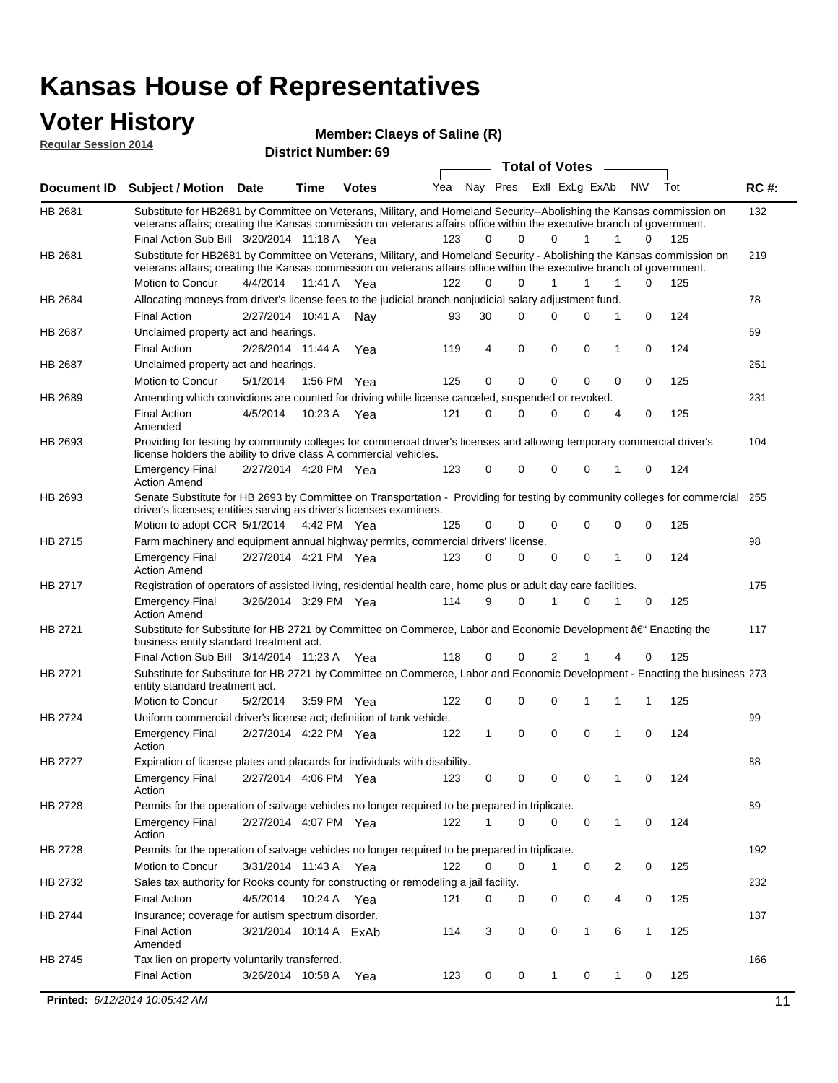### **Voter History**

**District Number: 69 Regular Session 2014**

|             |                                                                                                                                                                                                                                                                                               |                        |             | <b>DISTRICT MAILINGL'S</b> |     |              |          |          | <b>Total of Votes</b> |             |                |           |     |             |
|-------------|-----------------------------------------------------------------------------------------------------------------------------------------------------------------------------------------------------------------------------------------------------------------------------------------------|------------------------|-------------|----------------------------|-----|--------------|----------|----------|-----------------------|-------------|----------------|-----------|-----|-------------|
| Document ID | <b>Subject / Motion Date</b>                                                                                                                                                                                                                                                                  |                        | <b>Time</b> | <b>Votes</b>               | Yea | Nay Pres     |          |          | Exll ExLg ExAb        |             |                | <b>NV</b> | Tot | <b>RC#:</b> |
| HB 2681     | Substitute for HB2681 by Committee on Veterans, Military, and Homeland Security--Abolishing the Kansas commission on<br>veterans affairs; creating the Kansas commission on veterans affairs office within the executive branch of government.<br>Final Action Sub Bill 3/20/2014 11:18 A Yea |                        |             |                            | 123 | 0            |          | 0        | 0                     | 1           | $\mathbf{1}$   | 0         | 125 | 132         |
| HB 2681     | Substitute for HB2681 by Committee on Veterans, Military, and Homeland Security - Abolishing the Kansas commission on                                                                                                                                                                         |                        |             |                            |     |              |          |          |                       |             |                |           |     | 219         |
|             | veterans affairs; creating the Kansas commission on veterans affairs office within the executive branch of government.                                                                                                                                                                        |                        |             |                            |     |              |          |          |                       |             |                |           |     |             |
|             | Motion to Concur                                                                                                                                                                                                                                                                              | 4/4/2014               |             | 11:41 A Yea                | 122 | $\Omega$     |          | 0        | 1                     | 1           | 1              | 0         | 125 |             |
| HB 2684     | Allocating moneys from driver's license fees to the judicial branch nonjudicial salary adjustment fund.                                                                                                                                                                                       |                        |             |                            |     |              |          |          |                       |             |                |           |     | 78          |
|             | <b>Final Action</b>                                                                                                                                                                                                                                                                           | 2/27/2014 10:41 A      |             | Nav                        | 93  | 30           |          | $\Omega$ | 0                     | 0           | 1              | 0         | 124 |             |
| HB 2687     | Unclaimed property act and hearings.                                                                                                                                                                                                                                                          |                        |             |                            |     |              |          |          |                       |             |                |           |     | 59          |
|             | <b>Final Action</b>                                                                                                                                                                                                                                                                           | 2/26/2014 11:44 A      |             | Yea                        | 119 | 4            | 0        |          | 0                     | 0           | 1              | 0         | 124 |             |
| HB 2687     | Unclaimed property act and hearings.                                                                                                                                                                                                                                                          |                        |             |                            |     |              |          |          |                       |             |                |           |     | 251         |
|             | Motion to Concur                                                                                                                                                                                                                                                                              | 5/1/2014               |             | 1:56 PM Yea                | 125 | 0            | 0        |          | 0                     | $\mathbf 0$ | 0              | 0         | 125 |             |
| HB 2689     | Amending which convictions are counted for driving while license canceled, suspended or revoked.                                                                                                                                                                                              |                        |             |                            |     |              |          |          |                       |             |                |           |     | 231         |
|             | <b>Final Action</b><br>Amended                                                                                                                                                                                                                                                                | 4/5/2014               |             | 10:23 A Yea                | 121 | $\Omega$     | $\Omega$ |          | 0                     | 0           | 4              | 0         | 125 |             |
| HB 2693     | Providing for testing by community colleges for commercial driver's licenses and allowing temporary commercial driver's<br>license holders the ability to drive class A commercial vehicles.                                                                                                  |                        |             |                            |     |              |          |          |                       |             |                |           |     | 104         |
|             | <b>Emergency Final</b><br><b>Action Amend</b>                                                                                                                                                                                                                                                 | 2/27/2014 4:28 PM Yea  |             |                            | 123 | 0            |          | 0        | 0                     | 0           | $\mathbf{1}$   | 0         | 124 |             |
| HB 2693     | Senate Substitute for HB 2693 by Committee on Transportation - Providing for testing by community colleges for commercial 255<br>driver's licenses; entities serving as driver's licenses examiners.                                                                                          |                        |             |                            |     |              |          |          |                       |             |                |           |     |             |
|             | Motion to adopt CCR 5/1/2014 4:42 PM Yea                                                                                                                                                                                                                                                      |                        |             |                            | 125 | 0            | 0        |          | 0                     | $\mathbf 0$ | $\mathbf 0$    | 0         | 125 |             |
| HB 2715     | Farm machinery and equipment annual highway permits, commercial drivers' license.                                                                                                                                                                                                             |                        |             |                            |     |              |          |          |                       |             |                |           |     | 98          |
|             | <b>Emergency Final</b><br><b>Action Amend</b>                                                                                                                                                                                                                                                 | 2/27/2014 4:21 PM Yea  |             |                            | 123 | $\Omega$     |          | 0        | 0                     | 0           | 1              | $\Omega$  | 124 |             |
| HB 2717     | Registration of operators of assisted living, residential health care, home plus or adult day care facilities.                                                                                                                                                                                |                        |             |                            |     |              |          |          |                       |             |                |           |     | 175         |
|             | <b>Emergency Final</b><br><b>Action Amend</b>                                                                                                                                                                                                                                                 | 3/26/2014 3:29 PM Yea  |             |                            | 114 | 9            | $\Omega$ |          | 1                     | $\Omega$    | 1              | 0         | 125 |             |
| HB 2721     | Substitute for Substitute for HB 2721 by Committee on Commerce, Labor and Economic Development †Enacting the<br>business entity standard treatment act.                                                                                                                                       |                        |             |                            |     |              |          |          |                       |             |                |           |     | 117         |
|             | Final Action Sub Bill 3/14/2014 11:23 A Yea                                                                                                                                                                                                                                                   |                        |             |                            | 118 | 0            |          | 0        | 2                     |             | 4              | 0         | 125 |             |
| HB 2721     | Substitute for Substitute for HB 2721 by Committee on Commerce, Labor and Economic Development - Enacting the business 273<br>entity standard treatment act.                                                                                                                                  |                        |             |                            |     |              |          |          |                       |             |                |           |     |             |
|             | <b>Motion to Concur</b>                                                                                                                                                                                                                                                                       | 5/2/2014               |             | 3:59 PM Yea                | 122 | 0            | 0        |          | 0                     | 1           | 1              | 1         | 125 |             |
| HB 2724     | Uniform commercial driver's license act; definition of tank vehicle.                                                                                                                                                                                                                          |                        |             |                            |     |              |          |          |                       |             |                |           |     | 99          |
|             | <b>Emergency Final</b><br>Action                                                                                                                                                                                                                                                              | 2/27/2014 4:22 PM Yea  |             |                            | 122 | $\mathbf{1}$ | $\Omega$ |          | $\Omega$              | $\Omega$    | 1              | $\Omega$  | 124 |             |
| HB 2727     | Expiration of license plates and placards for individuals with disability.                                                                                                                                                                                                                    |                        |             |                            |     |              |          |          |                       |             |                |           |     | 88          |
|             | <b>Emergency Final</b><br>Action                                                                                                                                                                                                                                                              | 2/27/2014 4:06 PM Yea  |             |                            | 123 | 0            | 0        |          | 0                     | $\mathbf 0$ | 1              | 0         | 124 |             |
| HB 2728     | Permits for the operation of salvage vehicles no longer required to be prepared in triplicate.                                                                                                                                                                                                |                        |             |                            |     |              |          |          |                       |             |                |           |     | 89          |
|             | <b>Emergency Final</b><br>Action                                                                                                                                                                                                                                                              | 2/27/2014 4:07 PM Yea  |             |                            | 122 | 1            | 0        |          | 0                     | 0           | $\mathbf{1}$   | 0         | 124 |             |
| HB 2728     | Permits for the operation of salvage vehicles no longer required to be prepared in triplicate.                                                                                                                                                                                                |                        |             |                            |     |              |          |          |                       |             |                |           |     | 192         |
|             | Motion to Concur                                                                                                                                                                                                                                                                              | 3/31/2014 11:43 A Yea  |             |                            | 122 | 0            | 0        |          | 1                     | 0           | $\overline{2}$ | 0         | 125 |             |
| HB 2732     | Sales tax authority for Rooks county for constructing or remodeling a jail facility.                                                                                                                                                                                                          |                        |             |                            |     |              |          |          |                       |             |                |           |     | 232         |
|             | <b>Final Action</b>                                                                                                                                                                                                                                                                           | 4/5/2014               |             | 10:24 A Yea                | 121 | 0            | 0        |          | 0                     | 0           | 4              | 0         | 125 |             |
| HB 2744     | Insurance; coverage for autism spectrum disorder.                                                                                                                                                                                                                                             |                        |             |                            |     |              |          |          |                       |             |                |           |     | 137         |
|             | <b>Final Action</b><br>Amended                                                                                                                                                                                                                                                                | 3/21/2014 10:14 A ExAb |             |                            | 114 | 3            |          | 0        | 0                     | 1           | 6              | 1         | 125 |             |
| HB 2745     | Tax lien on property voluntarily transferred.                                                                                                                                                                                                                                                 |                        |             |                            |     |              |          |          |                       |             |                |           |     | 166         |
|             | <b>Final Action</b>                                                                                                                                                                                                                                                                           | 3/26/2014 10:58 A      |             | Yea                        | 123 | 0            |          | 0        | $\mathbf{1}$          | 0           | 1              | 0         | 125 |             |

**Claeys of Saline (R)**

**Printed:**  $6/12/2014$  10:05:42 AM 11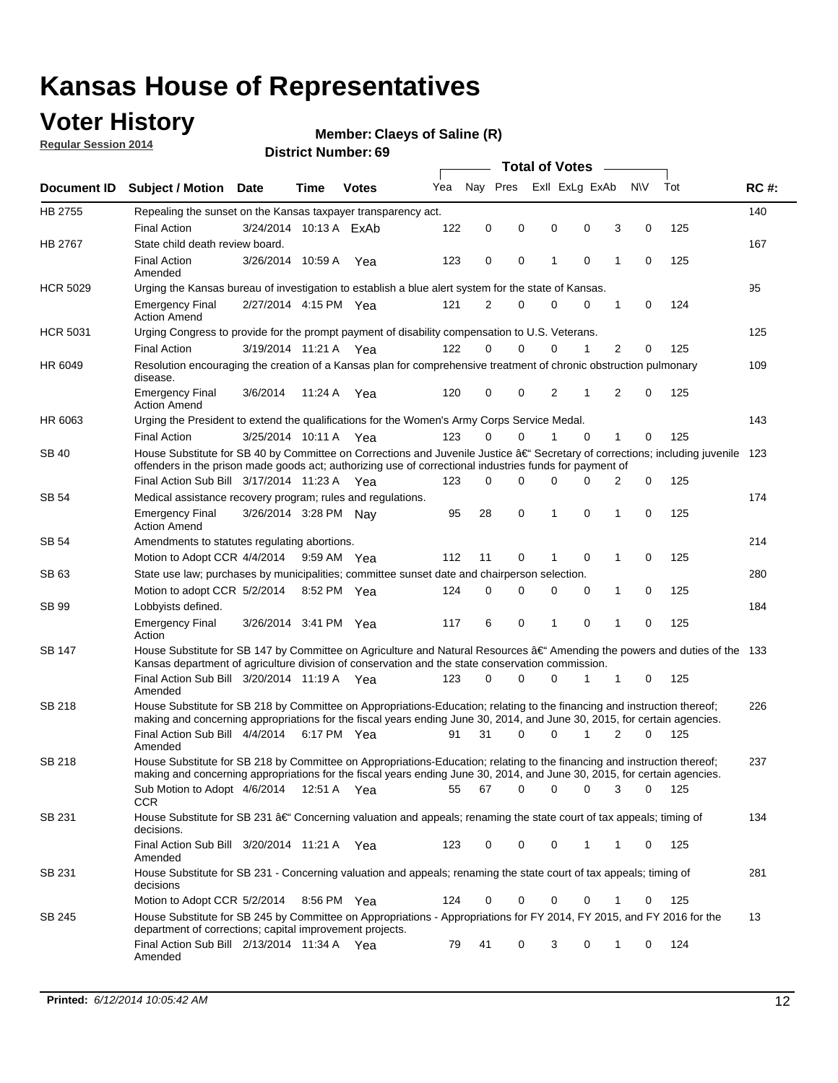### **Voter History**

**Regular Session 2014**

#### **Claeys of Saline (R)**

| Nay Pres<br>Exll ExLg ExAb<br><b>NV</b><br>Yea<br><b>Document ID</b><br><b>Subject / Motion</b><br><b>Date</b><br>Time<br><b>Votes</b><br>HB 2755<br>Repealing the sunset on the Kansas taxpayer transparency act.<br><b>Final Action</b><br>122<br>0<br>0<br>0<br>0<br>3<br>0<br>3/24/2014 10:13 A ExAb<br>HB 2767<br>State child death review board.<br><b>Final Action</b><br>3/26/2014 10:59 A<br>123<br>0<br>0<br>1<br>0<br>1<br>0<br>Yea<br>Amended<br><b>HCR 5029</b><br>Urging the Kansas bureau of investigation to establish a blue alert system for the state of Kansas.<br>2/27/2014 4:15 PM Yea<br>121<br>2<br>0<br>1<br>0<br><b>Emergency Final</b><br>0<br>0<br><b>Action Amend</b><br><b>HCR 5031</b><br>Urging Congress to provide for the prompt payment of disability compensation to U.S. Veterans.<br><b>Final Action</b><br>122<br>$\Omega$<br>0<br>0<br>1<br>2<br>3/19/2014 11:21 A Yea<br>0<br>HR 6049<br>Resolution encouraging the creation of a Kansas plan for comprehensive treatment of chronic obstruction pulmonary<br>disease.<br>2<br>120<br>0<br>0<br>2<br>1<br>$\mathbf 0$<br><b>Emergency Final</b><br>3/6/2014<br>11:24 A<br>Yea<br><b>Action Amend</b><br>HR 6063<br>Urging the President to extend the qualifications for the Women's Army Corps Service Medal.<br>123<br>$\Omega$<br>$\Omega$<br>$\Omega$<br>$\mathbf{1}$<br><b>Final Action</b><br>3/25/2014 10:11 A Yea<br>1<br>0<br>House Substitute for SB 40 by Committee on Corrections and Juvenile Justice †Secretary of corrections; including juvenile<br>SB 40<br>offenders in the prison made goods act; authorizing use of correctional industries funds for payment of |                    |  |
|-------------------------------------------------------------------------------------------------------------------------------------------------------------------------------------------------------------------------------------------------------------------------------------------------------------------------------------------------------------------------------------------------------------------------------------------------------------------------------------------------------------------------------------------------------------------------------------------------------------------------------------------------------------------------------------------------------------------------------------------------------------------------------------------------------------------------------------------------------------------------------------------------------------------------------------------------------------------------------------------------------------------------------------------------------------------------------------------------------------------------------------------------------------------------------------------------------------------------------------------------------------------------------------------------------------------------------------------------------------------------------------------------------------------------------------------------------------------------------------------------------------------------------------------------------------------------------------------------------------------------------------------------------------------------------|--------------------|--|
|                                                                                                                                                                                                                                                                                                                                                                                                                                                                                                                                                                                                                                                                                                                                                                                                                                                                                                                                                                                                                                                                                                                                                                                                                                                                                                                                                                                                                                                                                                                                                                                                                                                                               | Tot<br><b>RC#:</b> |  |
|                                                                                                                                                                                                                                                                                                                                                                                                                                                                                                                                                                                                                                                                                                                                                                                                                                                                                                                                                                                                                                                                                                                                                                                                                                                                                                                                                                                                                                                                                                                                                                                                                                                                               | 140                |  |
|                                                                                                                                                                                                                                                                                                                                                                                                                                                                                                                                                                                                                                                                                                                                                                                                                                                                                                                                                                                                                                                                                                                                                                                                                                                                                                                                                                                                                                                                                                                                                                                                                                                                               | 125                |  |
|                                                                                                                                                                                                                                                                                                                                                                                                                                                                                                                                                                                                                                                                                                                                                                                                                                                                                                                                                                                                                                                                                                                                                                                                                                                                                                                                                                                                                                                                                                                                                                                                                                                                               | 167                |  |
|                                                                                                                                                                                                                                                                                                                                                                                                                                                                                                                                                                                                                                                                                                                                                                                                                                                                                                                                                                                                                                                                                                                                                                                                                                                                                                                                                                                                                                                                                                                                                                                                                                                                               | 125                |  |
|                                                                                                                                                                                                                                                                                                                                                                                                                                                                                                                                                                                                                                                                                                                                                                                                                                                                                                                                                                                                                                                                                                                                                                                                                                                                                                                                                                                                                                                                                                                                                                                                                                                                               | 95                 |  |
|                                                                                                                                                                                                                                                                                                                                                                                                                                                                                                                                                                                                                                                                                                                                                                                                                                                                                                                                                                                                                                                                                                                                                                                                                                                                                                                                                                                                                                                                                                                                                                                                                                                                               | 124                |  |
|                                                                                                                                                                                                                                                                                                                                                                                                                                                                                                                                                                                                                                                                                                                                                                                                                                                                                                                                                                                                                                                                                                                                                                                                                                                                                                                                                                                                                                                                                                                                                                                                                                                                               | 125                |  |
|                                                                                                                                                                                                                                                                                                                                                                                                                                                                                                                                                                                                                                                                                                                                                                                                                                                                                                                                                                                                                                                                                                                                                                                                                                                                                                                                                                                                                                                                                                                                                                                                                                                                               | 125                |  |
|                                                                                                                                                                                                                                                                                                                                                                                                                                                                                                                                                                                                                                                                                                                                                                                                                                                                                                                                                                                                                                                                                                                                                                                                                                                                                                                                                                                                                                                                                                                                                                                                                                                                               | 109                |  |
|                                                                                                                                                                                                                                                                                                                                                                                                                                                                                                                                                                                                                                                                                                                                                                                                                                                                                                                                                                                                                                                                                                                                                                                                                                                                                                                                                                                                                                                                                                                                                                                                                                                                               | 125                |  |
|                                                                                                                                                                                                                                                                                                                                                                                                                                                                                                                                                                                                                                                                                                                                                                                                                                                                                                                                                                                                                                                                                                                                                                                                                                                                                                                                                                                                                                                                                                                                                                                                                                                                               | 143                |  |
|                                                                                                                                                                                                                                                                                                                                                                                                                                                                                                                                                                                                                                                                                                                                                                                                                                                                                                                                                                                                                                                                                                                                                                                                                                                                                                                                                                                                                                                                                                                                                                                                                                                                               | 125                |  |
|                                                                                                                                                                                                                                                                                                                                                                                                                                                                                                                                                                                                                                                                                                                                                                                                                                                                                                                                                                                                                                                                                                                                                                                                                                                                                                                                                                                                                                                                                                                                                                                                                                                                               | 123                |  |
| Final Action Sub Bill 3/17/2014 11:23 A Yea<br>0<br>0<br>123<br>0<br>0<br>0<br>2                                                                                                                                                                                                                                                                                                                                                                                                                                                                                                                                                                                                                                                                                                                                                                                                                                                                                                                                                                                                                                                                                                                                                                                                                                                                                                                                                                                                                                                                                                                                                                                              | 125                |  |
| SB 54<br>Medical assistance recovery program; rules and regulations.                                                                                                                                                                                                                                                                                                                                                                                                                                                                                                                                                                                                                                                                                                                                                                                                                                                                                                                                                                                                                                                                                                                                                                                                                                                                                                                                                                                                                                                                                                                                                                                                          | 174                |  |
| 0<br>3/26/2014 3:28 PM Nay<br>95<br>28<br>1<br>0<br>1<br>0<br><b>Emergency Final</b><br><b>Action Amend</b>                                                                                                                                                                                                                                                                                                                                                                                                                                                                                                                                                                                                                                                                                                                                                                                                                                                                                                                                                                                                                                                                                                                                                                                                                                                                                                                                                                                                                                                                                                                                                                   | 125                |  |
| SB 54<br>Amendments to statutes regulating abortions.                                                                                                                                                                                                                                                                                                                                                                                                                                                                                                                                                                                                                                                                                                                                                                                                                                                                                                                                                                                                                                                                                                                                                                                                                                                                                                                                                                                                                                                                                                                                                                                                                         | 214                |  |
| 112<br>11<br>0<br>0<br>1<br>0<br>Motion to Adopt CCR 4/4/2014<br>9:59 AM Yea                                                                                                                                                                                                                                                                                                                                                                                                                                                                                                                                                                                                                                                                                                                                                                                                                                                                                                                                                                                                                                                                                                                                                                                                                                                                                                                                                                                                                                                                                                                                                                                                  | 125                |  |
| State use law; purchases by municipalities; committee sunset date and chairperson selection.<br>SB 63                                                                                                                                                                                                                                                                                                                                                                                                                                                                                                                                                                                                                                                                                                                                                                                                                                                                                                                                                                                                                                                                                                                                                                                                                                                                                                                                                                                                                                                                                                                                                                         | 280                |  |
| $\mathbf 0$<br>0<br>0<br>Motion to adopt CCR 5/2/2014<br>8:52 PM Yea<br>124<br>0<br>0<br>1                                                                                                                                                                                                                                                                                                                                                                                                                                                                                                                                                                                                                                                                                                                                                                                                                                                                                                                                                                                                                                                                                                                                                                                                                                                                                                                                                                                                                                                                                                                                                                                    | 125                |  |
| SB 99<br>Lobbyists defined.                                                                                                                                                                                                                                                                                                                                                                                                                                                                                                                                                                                                                                                                                                                                                                                                                                                                                                                                                                                                                                                                                                                                                                                                                                                                                                                                                                                                                                                                                                                                                                                                                                                   | 184                |  |
| 6<br>0<br>0<br>1<br>0<br><b>Emergency Final</b><br>3/26/2014 3:41 PM Yea<br>117<br>1<br>Action                                                                                                                                                                                                                                                                                                                                                                                                                                                                                                                                                                                                                                                                                                                                                                                                                                                                                                                                                                                                                                                                                                                                                                                                                                                                                                                                                                                                                                                                                                                                                                                | 125                |  |
| House Substitute for SB 147 by Committee on Agriculture and Natural Resources †Amending the powers and duties of the 133<br>SB 147<br>Kansas department of agriculture division of conservation and the state conservation commission.                                                                                                                                                                                                                                                                                                                                                                                                                                                                                                                                                                                                                                                                                                                                                                                                                                                                                                                                                                                                                                                                                                                                                                                                                                                                                                                                                                                                                                        |                    |  |
| 0<br>Final Action Sub Bill 3/20/2014 11:19 A Yea<br>123<br>$\Omega$<br>0<br>1<br>1<br>0<br>Amended                                                                                                                                                                                                                                                                                                                                                                                                                                                                                                                                                                                                                                                                                                                                                                                                                                                                                                                                                                                                                                                                                                                                                                                                                                                                                                                                                                                                                                                                                                                                                                            | 125                |  |
| <b>SB 218</b><br>House Substitute for SB 218 by Committee on Appropriations-Education; relating to the financing and instruction thereof;                                                                                                                                                                                                                                                                                                                                                                                                                                                                                                                                                                                                                                                                                                                                                                                                                                                                                                                                                                                                                                                                                                                                                                                                                                                                                                                                                                                                                                                                                                                                     | 226                |  |
| making and concerning appropriations for the fiscal years ending June 30, 2014, and June 30, 2015, for certain agencies.<br>Final Action Sub Bill 4/4/2014 6:17 PM Yea<br>0<br>0<br>2<br>$\Omega$<br>91<br>31<br>1                                                                                                                                                                                                                                                                                                                                                                                                                                                                                                                                                                                                                                                                                                                                                                                                                                                                                                                                                                                                                                                                                                                                                                                                                                                                                                                                                                                                                                                            | 125                |  |
| Amended                                                                                                                                                                                                                                                                                                                                                                                                                                                                                                                                                                                                                                                                                                                                                                                                                                                                                                                                                                                                                                                                                                                                                                                                                                                                                                                                                                                                                                                                                                                                                                                                                                                                       |                    |  |
| <b>SB 218</b><br>House Substitute for SB 218 by Committee on Appropriations-Education; relating to the financing and instruction thereof;                                                                                                                                                                                                                                                                                                                                                                                                                                                                                                                                                                                                                                                                                                                                                                                                                                                                                                                                                                                                                                                                                                                                                                                                                                                                                                                                                                                                                                                                                                                                     | 237                |  |
| making and concerning appropriations for the fiscal years ending June 30, 2014, and June 30, 2015, for certain agencies.                                                                                                                                                                                                                                                                                                                                                                                                                                                                                                                                                                                                                                                                                                                                                                                                                                                                                                                                                                                                                                                                                                                                                                                                                                                                                                                                                                                                                                                                                                                                                      |                    |  |
| 67<br>0<br>0<br>Sub Motion to Adopt 4/6/2014 12:51 A Yea<br>55<br>0<br>3<br>0                                                                                                                                                                                                                                                                                                                                                                                                                                                                                                                                                                                                                                                                                                                                                                                                                                                                                                                                                                                                                                                                                                                                                                                                                                                                                                                                                                                                                                                                                                                                                                                                 | 125                |  |
| <b>CCR</b><br>SB 231<br>House Substitute for SB 231 †Concerning valuation and appeals; renaming the state court of tax appeals; timing of<br>decisions.                                                                                                                                                                                                                                                                                                                                                                                                                                                                                                                                                                                                                                                                                                                                                                                                                                                                                                                                                                                                                                                                                                                                                                                                                                                                                                                                                                                                                                                                                                                       | 134                |  |
| Final Action Sub Bill 3/20/2014 11:21 A Yea<br>0<br>0<br>0<br>123<br>1<br>1<br>0<br>Amended                                                                                                                                                                                                                                                                                                                                                                                                                                                                                                                                                                                                                                                                                                                                                                                                                                                                                                                                                                                                                                                                                                                                                                                                                                                                                                                                                                                                                                                                                                                                                                                   | 125                |  |
| SB 231<br>House Substitute for SB 231 - Concerning valuation and appeals; renaming the state court of tax appeals; timing of<br>decisions                                                                                                                                                                                                                                                                                                                                                                                                                                                                                                                                                                                                                                                                                                                                                                                                                                                                                                                                                                                                                                                                                                                                                                                                                                                                                                                                                                                                                                                                                                                                     | 281                |  |
| Motion to Adopt CCR 5/2/2014 8:56 PM Yea<br>124<br>0<br>0<br>0<br>0<br>1<br>0                                                                                                                                                                                                                                                                                                                                                                                                                                                                                                                                                                                                                                                                                                                                                                                                                                                                                                                                                                                                                                                                                                                                                                                                                                                                                                                                                                                                                                                                                                                                                                                                 | 125                |  |
| House Substitute for SB 245 by Committee on Appropriations - Appropriations for FY 2014, FY 2015, and FY 2016 for the<br>SB 245<br>department of corrections; capital improvement projects.                                                                                                                                                                                                                                                                                                                                                                                                                                                                                                                                                                                                                                                                                                                                                                                                                                                                                                                                                                                                                                                                                                                                                                                                                                                                                                                                                                                                                                                                                   | 13                 |  |
| Final Action Sub Bill 2/13/2014 11:34 A Yea<br>79<br>41<br>0<br>3<br>0<br>1<br>0<br>Amended                                                                                                                                                                                                                                                                                                                                                                                                                                                                                                                                                                                                                                                                                                                                                                                                                                                                                                                                                                                                                                                                                                                                                                                                                                                                                                                                                                                                                                                                                                                                                                                   | 124                |  |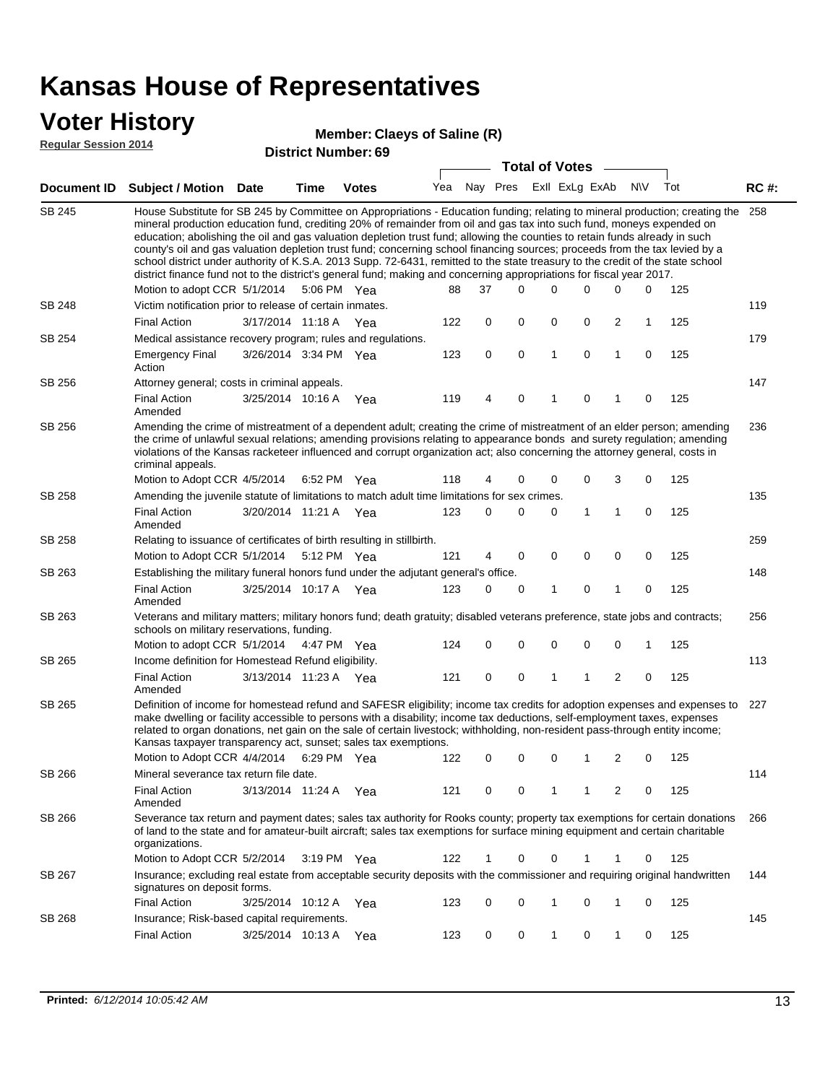### **Voter History**

#### **Claeys of Saline (R)**

**Regular Session 2014**

|               |                                                                                                                                                                                                                                                                                                                                                                                                                                                                                                                                                                                                                                                                                                                                                                                                                   |                       |             | DISUILU NUIIIDEI . UJ |     |    | <b>Total of Votes</b>       |   | $\sim$      |                |             |     |             |
|---------------|-------------------------------------------------------------------------------------------------------------------------------------------------------------------------------------------------------------------------------------------------------------------------------------------------------------------------------------------------------------------------------------------------------------------------------------------------------------------------------------------------------------------------------------------------------------------------------------------------------------------------------------------------------------------------------------------------------------------------------------------------------------------------------------------------------------------|-----------------------|-------------|-----------------------|-----|----|-----------------------------|---|-------------|----------------|-------------|-----|-------------|
|               | Document ID Subject / Motion Date                                                                                                                                                                                                                                                                                                                                                                                                                                                                                                                                                                                                                                                                                                                                                                                 |                       | <b>Time</b> | <b>Votes</b>          |     |    | Yea Nay Pres ExII ExLg ExAb |   |             |                | N\V         | Tot | <b>RC#:</b> |
| <b>SB 245</b> | House Substitute for SB 245 by Committee on Appropriations - Education funding; relating to mineral production; creating the 258<br>mineral production education fund, crediting 20% of remainder from oil and gas tax into such fund, moneys expended on<br>education; abolishing the oil and gas valuation depletion trust fund; allowing the counties to retain funds already in such<br>county's oil and gas valuation depletion trust fund; concerning school financing sources; proceeds from the tax levied by a<br>school district under authority of K.S.A. 2013 Supp. 72-6431, remitted to the state treasury to the credit of the state school<br>district finance fund not to the district's general fund; making and concerning appropriations for fiscal year 2017.<br>Motion to adopt CCR 5/1/2014 |                       |             | 5:06 PM Yea           | 88  | 37 | $\Omega$                    | 0 | 0           | 0              | 0           | 125 |             |
| SB 248        | Victim notification prior to release of certain inmates.                                                                                                                                                                                                                                                                                                                                                                                                                                                                                                                                                                                                                                                                                                                                                          |                       |             |                       |     |    |                             |   |             |                |             |     | 119         |
|               | <b>Final Action</b>                                                                                                                                                                                                                                                                                                                                                                                                                                                                                                                                                                                                                                                                                                                                                                                               | 3/17/2014 11:18 A     |             | Yea                   | 122 | 0  | 0                           | 0 | 0           | 2              | 1           | 125 |             |
| SB 254        | Medical assistance recovery program; rules and regulations.                                                                                                                                                                                                                                                                                                                                                                                                                                                                                                                                                                                                                                                                                                                                                       |                       |             |                       |     |    |                             |   |             |                |             |     | 179         |
|               | <b>Emergency Final</b><br>Action                                                                                                                                                                                                                                                                                                                                                                                                                                                                                                                                                                                                                                                                                                                                                                                  | 3/26/2014 3:34 PM Yea |             |                       | 123 | 0  | 0                           | 1 | $\mathbf 0$ | 1              | $\mathbf 0$ | 125 |             |
| SB 256        | Attorney general; costs in criminal appeals.                                                                                                                                                                                                                                                                                                                                                                                                                                                                                                                                                                                                                                                                                                                                                                      |                       |             |                       |     |    |                             |   |             |                |             |     | 147         |
|               | <b>Final Action</b><br>Amended                                                                                                                                                                                                                                                                                                                                                                                                                                                                                                                                                                                                                                                                                                                                                                                    | 3/25/2014 10:16 A     |             | Yea                   | 119 | 4  | $\mathbf 0$                 | 1 | 0           | 1              | 0           | 125 |             |
| SB 256        | Amending the crime of mistreatment of a dependent adult; creating the crime of mistreatment of an elder person; amending<br>the crime of unlawful sexual relations; amending provisions relating to appearance bonds and surety regulation; amending<br>violations of the Kansas racketeer influenced and corrupt organization act; also concerning the attorney general, costs in<br>criminal appeals.                                                                                                                                                                                                                                                                                                                                                                                                           |                       |             |                       |     |    |                             |   |             |                |             |     | 236         |
|               | Motion to Adopt CCR 4/5/2014                                                                                                                                                                                                                                                                                                                                                                                                                                                                                                                                                                                                                                                                                                                                                                                      |                       | 6:52 PM Yea |                       | 118 | 4  | 0                           | 0 | 0           | 3              | 0           | 125 |             |
| <b>SB 258</b> | Amending the juvenile statute of limitations to match adult time limitations for sex crimes.                                                                                                                                                                                                                                                                                                                                                                                                                                                                                                                                                                                                                                                                                                                      |                       |             |                       |     |    |                             |   |             |                |             |     | 135         |
|               | <b>Final Action</b><br>Amended                                                                                                                                                                                                                                                                                                                                                                                                                                                                                                                                                                                                                                                                                                                                                                                    | 3/20/2014 11:21 A Yea |             |                       | 123 | 0  | 0                           | 0 | 1           | $\mathbf{1}$   | 0           | 125 |             |
| SB 258        | Relating to issuance of certificates of birth resulting in stillbirth.                                                                                                                                                                                                                                                                                                                                                                                                                                                                                                                                                                                                                                                                                                                                            |                       |             |                       |     |    |                             |   |             |                |             |     | 259         |
|               | Motion to Adopt CCR 5/1/2014 5:12 PM Yea                                                                                                                                                                                                                                                                                                                                                                                                                                                                                                                                                                                                                                                                                                                                                                          |                       |             |                       | 121 | 4  | 0                           | 0 | $\mathbf 0$ | 0              | 0           | 125 |             |
| SB 263        | Establishing the military funeral honors fund under the adjutant general's office.                                                                                                                                                                                                                                                                                                                                                                                                                                                                                                                                                                                                                                                                                                                                |                       |             |                       |     |    |                             |   |             |                |             |     | 148         |
|               | <b>Final Action</b><br>Amended                                                                                                                                                                                                                                                                                                                                                                                                                                                                                                                                                                                                                                                                                                                                                                                    | 3/25/2014 10:17 A Yea |             |                       | 123 | 0  | 0                           | 1 | 0           | $\mathbf{1}$   | 0           | 125 |             |
| SB 263        | Veterans and military matters; military honors fund; death gratuity; disabled veterans preference, state jobs and contracts;<br>schools on military reservations, funding.                                                                                                                                                                                                                                                                                                                                                                                                                                                                                                                                                                                                                                        |                       |             |                       |     |    |                             |   |             |                |             |     | 256         |
|               | Motion to adopt CCR 5/1/2014 4:47 PM Yea                                                                                                                                                                                                                                                                                                                                                                                                                                                                                                                                                                                                                                                                                                                                                                          |                       |             |                       | 124 | 0  | 0                           | 0 | 0           | 0              | 1           | 125 |             |
| SB 265        | Income definition for Homestead Refund eligibility.                                                                                                                                                                                                                                                                                                                                                                                                                                                                                                                                                                                                                                                                                                                                                               |                       |             |                       |     |    |                             |   |             |                |             |     | 113         |
|               | <b>Final Action</b><br>Amended                                                                                                                                                                                                                                                                                                                                                                                                                                                                                                                                                                                                                                                                                                                                                                                    | 3/13/2014 11:23 A Yea |             |                       | 121 | 0  | 0                           | 1 | 1           | 2              | 0           | 125 |             |
| SB 265        | Definition of income for homestead refund and SAFESR eligibility; income tax credits for adoption expenses and expenses to<br>make dwelling or facility accessible to persons with a disability; income tax deductions, self-employment taxes, expenses<br>related to organ donations, net gain on the sale of certain livestock; withholding, non-resident pass-through entity income;<br>Kansas taxpayer transparency act, sunset; sales tax exemptions.<br>Motion to Adopt CCR 4/4/2014                                                                                                                                                                                                                                                                                                                        |                       | 6:29 PM Yea |                       | 122 | 0  | 0                           | 0 | 1           | $\overline{2}$ | 0           | 125 | 227         |
| SB 266        | Mineral severance tax return file date.                                                                                                                                                                                                                                                                                                                                                                                                                                                                                                                                                                                                                                                                                                                                                                           |                       |             |                       |     |    |                             |   |             |                |             |     | 114         |
|               | <b>Final Action</b><br>Amended                                                                                                                                                                                                                                                                                                                                                                                                                                                                                                                                                                                                                                                                                                                                                                                    | 3/13/2014 11:24 A     |             | Yea                   | 121 | 0  | 0                           | 1 | 1           | 2              | 0           | 125 |             |
| SB 266        | Severance tax return and payment dates; sales tax authority for Rooks county; property tax exemptions for certain donations<br>of land to the state and for amateur-built aircraft; sales tax exemptions for surface mining equipment and certain charitable<br>organizations.                                                                                                                                                                                                                                                                                                                                                                                                                                                                                                                                    |                       |             |                       |     |    |                             |   |             |                |             |     | 266         |
|               | Motion to Adopt CCR 5/2/2014                                                                                                                                                                                                                                                                                                                                                                                                                                                                                                                                                                                                                                                                                                                                                                                      |                       |             | $3:19 \text{ PM}$ Yea | 122 | 1  | 0                           | 0 |             | 1              | 0           | 125 |             |
| SB 267        | Insurance; excluding real estate from acceptable security deposits with the commissioner and requiring original handwritten<br>signatures on deposit forms.                                                                                                                                                                                                                                                                                                                                                                                                                                                                                                                                                                                                                                                       |                       |             |                       |     |    |                             |   |             |                |             |     | 144         |
|               | <b>Final Action</b>                                                                                                                                                                                                                                                                                                                                                                                                                                                                                                                                                                                                                                                                                                                                                                                               | 3/25/2014 10:12 A Yea |             |                       | 123 | 0  | 0                           | 1 | 0           | $\mathbf{1}$   | 0           | 125 |             |
| SB 268        | Insurance; Risk-based capital requirements.                                                                                                                                                                                                                                                                                                                                                                                                                                                                                                                                                                                                                                                                                                                                                                       |                       |             |                       |     |    |                             |   |             |                |             |     | 145         |
|               | <b>Final Action</b>                                                                                                                                                                                                                                                                                                                                                                                                                                                                                                                                                                                                                                                                                                                                                                                               | 3/25/2014 10:13 A     |             | Yea                   | 123 | 0  | 0                           | 1 | 0           | 1              | 0           | 125 |             |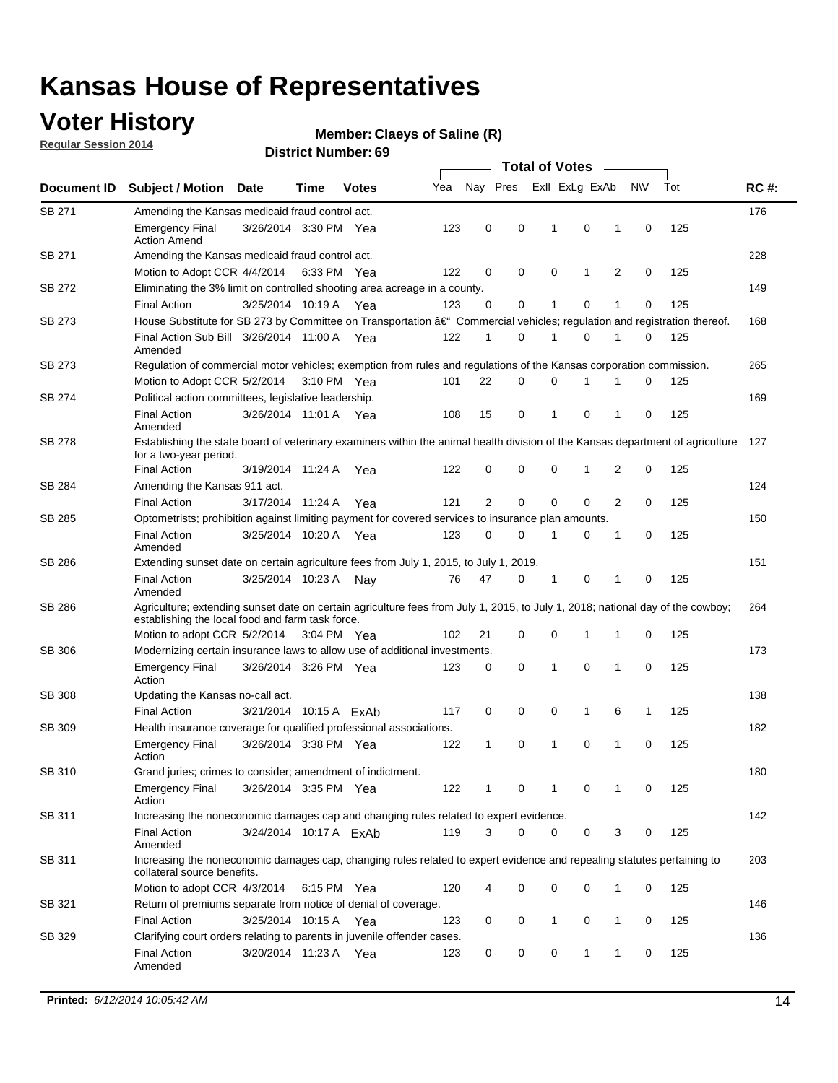### **Voter History**

**Regular Session 2014**

#### **Claeys of Saline (R)**

|               |                                                                                                                                                                                    |                        |             |              |     | <b>Total of Votes</b> |  |          |                         |             |                |             |     |             |
|---------------|------------------------------------------------------------------------------------------------------------------------------------------------------------------------------------|------------------------|-------------|--------------|-----|-----------------------|--|----------|-------------------------|-------------|----------------|-------------|-----|-------------|
| Document ID   | <b>Subject / Motion Date</b>                                                                                                                                                       |                        | Time        | <b>Votes</b> | Yea |                       |  |          | Nay Pres Exll ExLg ExAb |             |                | <b>NV</b>   | Tot | <b>RC#:</b> |
| SB 271        | Amending the Kansas medicaid fraud control act.                                                                                                                                    |                        |             |              |     |                       |  |          |                         |             |                |             |     | 176         |
|               | <b>Emergency Final</b><br><b>Action Amend</b>                                                                                                                                      | 3/26/2014 3:30 PM Yea  |             |              | 123 | 0                     |  | 0        | 1                       | $\mathbf 0$ | 1              | $\mathbf 0$ | 125 |             |
| SB 271        | Amending the Kansas medicaid fraud control act.                                                                                                                                    |                        |             |              |     |                       |  |          |                         |             |                |             |     | 228         |
|               | Motion to Adopt CCR 4/4/2014 6:33 PM Yea                                                                                                                                           |                        |             |              | 122 | 0                     |  | 0        | $\mathbf 0$             | 1           | 2              | 0           | 125 |             |
| SB 272        | Eliminating the 3% limit on controlled shooting area acreage in a county.                                                                                                          |                        |             |              |     |                       |  |          |                         |             |                |             |     | 149         |
|               | <b>Final Action</b>                                                                                                                                                                | 3/25/2014 10:19 A Yea  |             |              | 123 | 0                     |  | 0        | 1                       | $\mathbf 0$ | 1              | 0           | 125 |             |
| SB 273        | House Substitute for SB 273 by Committee on Transportation †Commercial vehicles; regulation and registration thereof.                                                              |                        |             |              |     |                       |  |          |                         |             |                |             |     | 168         |
|               | Final Action Sub Bill 3/26/2014 11:00 A Yea<br>Amended                                                                                                                             |                        |             |              | 122 | 1                     |  | 0        | 1                       | $\mathbf 0$ | 1              | 0           | 125 |             |
| SB 273        | Regulation of commercial motor vehicles; exemption from rules and regulations of the Kansas corporation commission.                                                                |                        |             |              |     |                       |  |          |                         |             |                |             |     | 265         |
|               | Motion to Adopt CCR 5/2/2014                                                                                                                                                       |                        | 3:10 PM Yea |              | 101 | 22                    |  | 0        | 0                       |             |                | 0           | 125 |             |
| SB 274        | Political action committees, legislative leadership.                                                                                                                               |                        |             |              |     |                       |  |          |                         |             |                |             |     | 169         |
|               | <b>Final Action</b><br>Amended                                                                                                                                                     | 3/26/2014 11:01 A Yea  |             |              | 108 | 15                    |  | 0        | 1                       | $\mathbf 0$ | 1              | 0           | 125 |             |
| SB 278        | Establishing the state board of veterinary examiners within the animal health division of the Kansas department of agriculture<br>for a two-year period.                           |                        |             |              |     |                       |  |          |                         |             |                |             |     | 127         |
|               | <b>Final Action</b>                                                                                                                                                                | 3/19/2014 11:24 A      |             | Yea          | 122 | 0                     |  | 0        | 0                       | 1           | 2              | 0           | 125 |             |
| SB 284        | Amending the Kansas 911 act.                                                                                                                                                       |                        |             |              |     |                       |  |          |                         |             |                |             |     | 124         |
|               | <b>Final Action</b>                                                                                                                                                                | 3/17/2014 11:24 A      |             | Yea          | 121 | $\overline{2}$        |  | 0        | $\mathbf 0$             | $\mathbf 0$ | $\overline{2}$ | $\mathbf 0$ | 125 |             |
| SB 285        | Optometrists; prohibition against limiting payment for covered services to insurance plan amounts.                                                                                 |                        |             |              |     |                       |  |          |                         |             |                |             |     | 150         |
|               | <b>Final Action</b><br>Amended                                                                                                                                                     | 3/25/2014 10:20 A Yea  |             |              | 123 | 0                     |  | 0        | 1                       | 0           | 1              | 0           | 125 |             |
| SB 286        | Extending sunset date on certain agriculture fees from July 1, 2015, to July 1, 2019.                                                                                              |                        |             |              |     |                       |  |          |                         |             |                |             |     | 151         |
|               | <b>Final Action</b><br>Amended                                                                                                                                                     | 3/25/2014 10:23 A      |             | Nav          | 76  | 47                    |  | 0        | 1                       | 0           | 1              | $\mathbf 0$ | 125 |             |
| SB 286        | Agriculture; extending sunset date on certain agriculture fees from July 1, 2015, to July 1, 2018; national day of the cowboy;<br>establishing the local food and farm task force. |                        |             |              |     |                       |  |          |                         |             |                |             |     | 264         |
|               | Motion to adopt CCR 5/2/2014 3:04 PM Yea                                                                                                                                           |                        |             |              | 102 | 21                    |  | 0        | 0                       | 1           | 1              | 0           | 125 |             |
| SB 306        | Modernizing certain insurance laws to allow use of additional investments.                                                                                                         |                        |             |              |     |                       |  |          |                         |             |                |             |     | 173         |
|               | <b>Emergency Final</b><br>Action                                                                                                                                                   | 3/26/2014 3:26 PM Yea  |             |              | 123 | 0                     |  | 0        | 1                       | 0           | 1              | $\mathbf 0$ | 125 |             |
| <b>SB 308</b> | Updating the Kansas no-call act.                                                                                                                                                   |                        |             |              |     |                       |  |          |                         |             |                |             |     | 138         |
|               | <b>Final Action</b>                                                                                                                                                                | 3/21/2014 10:15 A ExAb |             |              | 117 | 0                     |  | 0        | 0                       | 1           | 6              | 1           | 125 |             |
| SB 309        | Health insurance coverage for qualified professional associations.                                                                                                                 |                        |             |              |     |                       |  |          |                         |             |                |             |     | 182         |
|               | <b>Emergency Final</b><br>Action                                                                                                                                                   | 3/26/2014 3:38 PM Yea  |             |              | 122 | 1                     |  | 0        | 1                       | $\mathbf 0$ | 1              | $\mathbf 0$ | 125 |             |
| SB 310        | Grand juries; crimes to consider; amendment of indictment.                                                                                                                         |                        |             |              |     |                       |  |          |                         |             |                |             |     | 180         |
|               | <b>Emergency Final</b><br>Action                                                                                                                                                   | 3/26/2014 3:35 PM Yea  |             |              | 122 | 1                     |  | 0        | 1                       | 0           | 1              | 0           | 125 |             |
| SB 311        | Increasing the noneconomic damages cap and changing rules related to expert evidence.                                                                                              |                        |             |              |     |                       |  |          |                         |             |                |             |     | 142         |
|               | <b>Final Action</b><br>Amended                                                                                                                                                     | 3/24/2014 10:17 A ExAb |             |              | 119 | 3                     |  | $\Omega$ | 0                       | 0           | 3              | 0           | 125 |             |
| SB 311        | Increasing the noneconomic damages cap, changing rules related to expert evidence and repealing statutes pertaining to<br>collateral source benefits.                              |                        |             |              |     |                       |  |          |                         |             |                |             |     | 203         |
|               | Motion to adopt CCR 4/3/2014 6:15 PM Yea                                                                                                                                           |                        |             |              | 120 | 4                     |  | 0        | 0                       | 0           | 1              | 0           | 125 |             |
| SB 321        | Return of premiums separate from notice of denial of coverage.                                                                                                                     |                        |             |              |     |                       |  |          |                         |             |                |             |     | 146         |
|               | <b>Final Action</b>                                                                                                                                                                | 3/25/2014 10:15 A Yea  |             |              | 123 | 0                     |  | 0        | 1                       | 0           | 1              | 0           | 125 |             |
| SB 329        | Clarifying court orders relating to parents in juvenile offender cases.                                                                                                            |                        |             |              |     |                       |  |          |                         |             |                |             |     | 136         |
|               | <b>Final Action</b><br>Amended                                                                                                                                                     | 3/20/2014 11:23 A Yea  |             |              | 123 | 0                     |  | 0        | 0                       | 1           | 1              | 0           | 125 |             |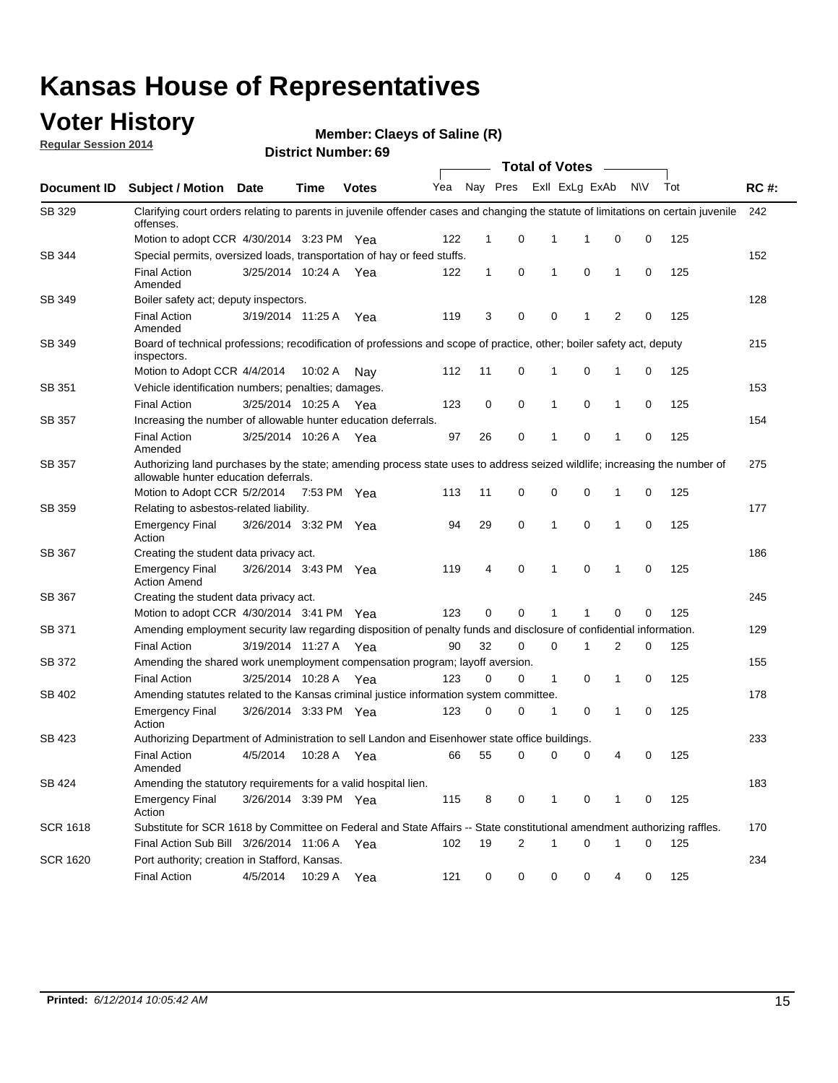#### **Voter History**

**Regular Session 2014**

**Claeys of Saline (R)**

|                    |                                                                                                                                                                    |                       |             |              |     |             |   | <b>Total of Votes</b> |                |                |             |     |             |
|--------------------|--------------------------------------------------------------------------------------------------------------------------------------------------------------------|-----------------------|-------------|--------------|-----|-------------|---|-----------------------|----------------|----------------|-------------|-----|-------------|
| <b>Document ID</b> | <b>Subject / Motion Date</b>                                                                                                                                       |                       | Time        | <b>Votes</b> | Yea | Nay Pres    |   |                       | Exll ExLg ExAb |                | N\V         | Tot | <b>RC#:</b> |
| SB 329             | Clarifying court orders relating to parents in juvenile offender cases and changing the statute of limitations on certain juvenile<br>offenses.                    |                       |             |              |     |             |   |                       |                |                |             |     | 242         |
|                    | Motion to adopt CCR 4/30/2014 3:23 PM Yea                                                                                                                          |                       |             |              | 122 | $\mathbf 1$ | 0 | 1                     | 1              | 0              | 0           | 125 |             |
| <b>SB 344</b>      | Special permits, oversized loads, transportation of hay or feed stuffs.                                                                                            |                       |             |              |     |             |   |                       |                |                |             |     | 152         |
|                    | <b>Final Action</b><br>Amended                                                                                                                                     | 3/25/2014 10:24 A     |             | Yea          | 122 | 1           | 0 | 1                     | 0              | $\mathbf 1$    | 0           | 125 |             |
| SB 349             | Boiler safety act; deputy inspectors.                                                                                                                              |                       |             |              |     |             |   |                       |                |                |             |     | 128         |
|                    | <b>Final Action</b><br>Amended                                                                                                                                     | 3/19/2014 11:25 A     |             | Yea          | 119 | 3           | 0 | 0                     | 1              | $\overline{2}$ | $\mathbf 0$ | 125 |             |
| SB 349             | Board of technical professions; recodification of professions and scope of practice, other; boiler safety act, deputy<br>inspectors.                               |                       |             |              |     |             |   |                       |                |                |             |     | 215         |
|                    | Motion to Adopt CCR 4/4/2014                                                                                                                                       |                       | 10:02 A     | Nav          | 112 | 11          | 0 | 1                     | 0              | 1              | 0           | 125 |             |
| SB 351             | Vehicle identification numbers; penalties; damages.                                                                                                                |                       |             |              |     |             |   |                       |                |                |             |     | 153         |
|                    | <b>Final Action</b>                                                                                                                                                | 3/25/2014 10:25 A     |             | Yea          | 123 | 0           | 0 | 1                     | 0              | $\mathbf{1}$   | 0           | 125 |             |
| SB 357             | Increasing the number of allowable hunter education deferrals.                                                                                                     |                       |             |              |     |             |   |                       |                |                |             |     | 154         |
|                    | <b>Final Action</b><br>Amended                                                                                                                                     | 3/25/2014 10:26 A     |             | Yea          | 97  | 26          | 0 | 1                     | 0              | $\mathbf{1}$   | 0           | 125 |             |
| SB 357             | Authorizing land purchases by the state; amending process state uses to address seized wildlife; increasing the number of<br>allowable hunter education deferrals. |                       |             |              |     |             |   |                       |                |                |             |     | 275         |
|                    | Motion to Adopt CCR 5/2/2014                                                                                                                                       |                       | 7:53 PM Yea |              | 113 | 11          | 0 | 0                     | 0              | -1             | 0           | 125 |             |
| <b>SB 359</b>      | Relating to asbestos-related liability.                                                                                                                            |                       |             |              |     |             |   |                       |                |                |             |     | 177         |
|                    | <b>Emergency Final</b><br>Action                                                                                                                                   | 3/26/2014 3:32 PM Yea |             |              | 94  | 29          | 0 | 1                     | $\mathbf 0$    | $\mathbf 1$    | $\mathbf 0$ | 125 |             |
| <b>SB 367</b>      | Creating the student data privacy act.                                                                                                                             |                       |             |              |     |             |   |                       |                |                |             |     | 186         |
|                    | <b>Emergency Final</b><br><b>Action Amend</b>                                                                                                                      | 3/26/2014 3:43 PM Yea |             |              | 119 | 4           | 0 | 1                     | 0              | -1             | 0           | 125 |             |
| SB 367             | Creating the student data privacy act.                                                                                                                             |                       |             |              |     |             |   |                       |                |                |             |     | 245         |
|                    | Motion to adopt CCR 4/30/2014 3:41 PM Yea                                                                                                                          |                       |             |              | 123 | 0           | 0 | 1                     | 1              | 0              | 0           | 125 |             |
| SB 371             | Amending employment security law regarding disposition of penalty funds and disclosure of confidential information.                                                |                       |             |              |     |             |   |                       |                |                |             |     | 129         |
|                    | <b>Final Action</b>                                                                                                                                                | 3/19/2014 11:27 A Yea |             |              | 90  | 32          | 0 | 0                     | 1              | 2              | 0           | 125 |             |
| <b>SB 372</b>      | Amending the shared work unemployment compensation program; layoff aversion.                                                                                       |                       |             |              |     |             |   |                       |                |                |             |     | 155         |
|                    | <b>Final Action</b>                                                                                                                                                | 3/25/2014 10:28 A     |             | Yea          | 123 | 0           | 0 | $\mathbf{1}$          | 0              | $\mathbf{1}$   | 0           | 125 |             |
| SB 402             | Amending statutes related to the Kansas criminal justice information system committee.                                                                             |                       |             |              |     |             |   |                       |                |                |             |     | 178         |
|                    | <b>Emergency Final</b><br>Action                                                                                                                                   | 3/26/2014 3:33 PM     |             | Yea          | 123 | 0           | 0 | 1                     | 0              | $\mathbf{1}$   | 0           | 125 |             |
| SB 423             | Authorizing Department of Administration to sell Landon and Eisenhower state office buildings.                                                                     |                       |             |              |     |             |   |                       |                |                |             |     | 233         |
|                    | <b>Final Action</b><br>Amended                                                                                                                                     | 4/5/2014              | 10:28 A     | Yea          | 66  | 55          | 0 | 0                     | 0              | 4              | 0           | 125 |             |
| SB 424             | Amending the statutory requirements for a valid hospital lien.                                                                                                     |                       |             |              |     |             |   |                       |                |                |             |     | 183         |
|                    | <b>Emergency Final</b><br>Action                                                                                                                                   | 3/26/2014 3:39 PM Yea |             |              | 115 | 8           | 0 | 1                     | 0              | -1             | 0           | 125 |             |
| SCR 1618           | Substitute for SCR 1618 by Committee on Federal and State Affairs -- State constitutional amendment authorizing raffles.                                           |                       |             |              |     |             |   |                       |                |                |             |     | 170         |
|                    | Final Action Sub Bill 3/26/2014 11:06 A                                                                                                                            |                       |             | Yea          | 102 | 19          | 2 | 1                     | 0              | -1             | 0           | 125 |             |
| SCR 1620           | Port authority; creation in Stafford, Kansas.                                                                                                                      |                       |             |              |     |             |   |                       |                |                |             |     | 234         |
|                    | <b>Final Action</b>                                                                                                                                                | 4/5/2014              | 10:29 A     | Yea          | 121 | 0           | 0 | 0                     | 0              | 4              | 0           | 125 |             |